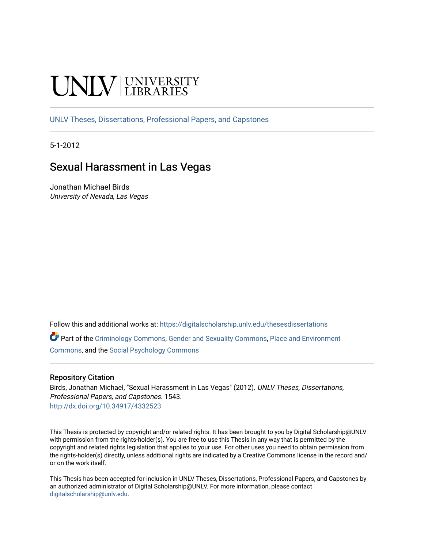# **INIVERSITY**

[UNLV Theses, Dissertations, Professional Papers, and Capstones](https://digitalscholarship.unlv.edu/thesesdissertations)

5-1-2012

# Sexual Harassment in Las Vegas

Jonathan Michael Birds University of Nevada, Las Vegas

Follow this and additional works at: [https://digitalscholarship.unlv.edu/thesesdissertations](https://digitalscholarship.unlv.edu/thesesdissertations?utm_source=digitalscholarship.unlv.edu%2Fthesesdissertations%2F1543&utm_medium=PDF&utm_campaign=PDFCoverPages)

Part of the [Criminology Commons](http://network.bepress.com/hgg/discipline/417?utm_source=digitalscholarship.unlv.edu%2Fthesesdissertations%2F1543&utm_medium=PDF&utm_campaign=PDFCoverPages), [Gender and Sexuality Commons,](http://network.bepress.com/hgg/discipline/420?utm_source=digitalscholarship.unlv.edu%2Fthesesdissertations%2F1543&utm_medium=PDF&utm_campaign=PDFCoverPages) [Place and Environment](http://network.bepress.com/hgg/discipline/424?utm_source=digitalscholarship.unlv.edu%2Fthesesdissertations%2F1543&utm_medium=PDF&utm_campaign=PDFCoverPages) [Commons](http://network.bepress.com/hgg/discipline/424?utm_source=digitalscholarship.unlv.edu%2Fthesesdissertations%2F1543&utm_medium=PDF&utm_campaign=PDFCoverPages), and the [Social Psychology Commons](http://network.bepress.com/hgg/discipline/414?utm_source=digitalscholarship.unlv.edu%2Fthesesdissertations%2F1543&utm_medium=PDF&utm_campaign=PDFCoverPages)

## Repository Citation

Birds, Jonathan Michael, "Sexual Harassment in Las Vegas" (2012). UNLV Theses, Dissertations, Professional Papers, and Capstones. 1543. <http://dx.doi.org/10.34917/4332523>

This Thesis is protected by copyright and/or related rights. It has been brought to you by Digital Scholarship@UNLV with permission from the rights-holder(s). You are free to use this Thesis in any way that is permitted by the copyright and related rights legislation that applies to your use. For other uses you need to obtain permission from the rights-holder(s) directly, unless additional rights are indicated by a Creative Commons license in the record and/ or on the work itself.

This Thesis has been accepted for inclusion in UNLV Theses, Dissertations, Professional Papers, and Capstones by an authorized administrator of Digital Scholarship@UNLV. For more information, please contact [digitalscholarship@unlv.edu](mailto:digitalscholarship@unlv.edu).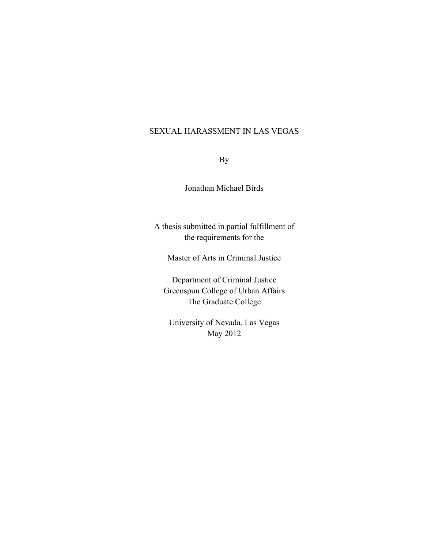# SEXUAL HARASSMENT IN LAS VEGAS

By

Jonathan Michael Birds

A thesis submitted in partial fulfillment of the requirements for the

Master of Arts in Criminal Justice

Department of Criminal Justice Greenspun College of Urban Affairs The Graduate College

University of Nevada. Las Vegas May 2012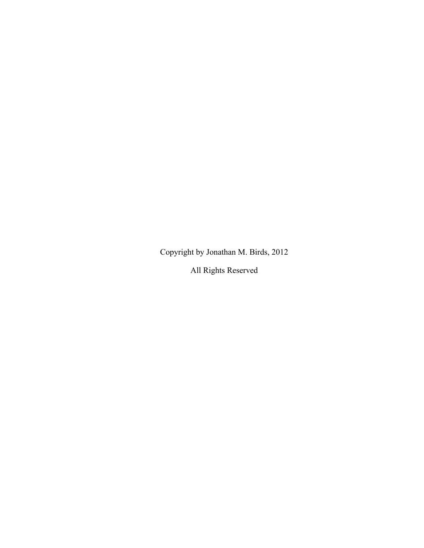Copyright by Jonathan M. Birds, 2012

All Rights Reserved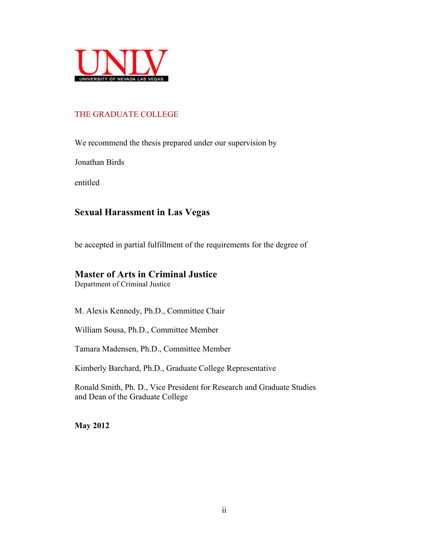

# THE GRADUATE COLLEGE

We recommend the thesis prepared under our supervision by

Jonathan Birds

entitled

# **Sexual Harassment in Las Vegas**

be accepted in partial fulfillment of the requirements for the degree of

# **Master of Arts in Criminal Justice**

Department of Criminal Justice

M. Alexis Kennedy, Ph.D., Committee Chair

William Sousa, Ph.D., Committee Member

Tamara Madensen, Ph.D., Committee Member

Kimberly Barchard, Ph.D., Graduate College Representative

Ronald Smith, Ph. D., Vice President for Research and Graduate Studies and Dean of the Graduate College

**May 2012**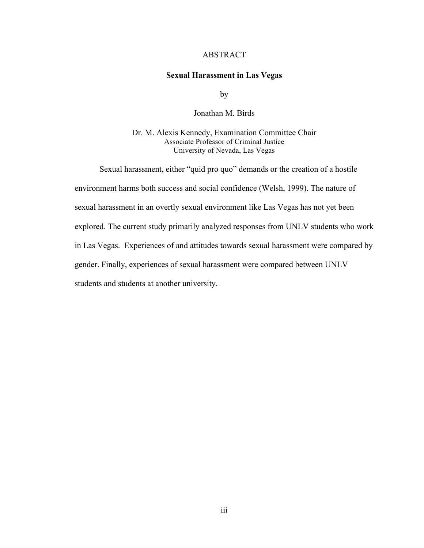## ABSTRACT

#### **Sexual Harassment in Las Vegas**

by

Jonathan M. Birds

Dr. M. Alexis Kennedy, Examination Committee Chair Associate Professor of Criminal Justice University of Nevada, Las Vegas

Sexual harassment, either "quid pro quo" demands or the creation of a hostile environment harms both success and social confidence (Welsh, 1999). The nature of sexual harassment in an overtly sexual environment like Las Vegas has not yet been explored. The current study primarily analyzed responses from UNLV students who work in Las Vegas. Experiences of and attitudes towards sexual harassment were compared by gender. Finally, experiences of sexual harassment were compared between UNLV students and students at another university.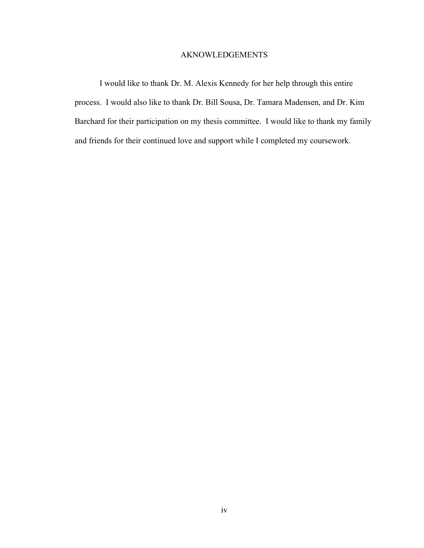# AKNOWLEDGEMENTS

I would like to thank Dr. M. Alexis Kennedy for her help through this entire process. I would also like to thank Dr. Bill Sousa, Dr. Tamara Madensen, and Dr. Kim Barchard for their participation on my thesis committee. I would like to thank my family and friends for their continued love and support while I completed my coursework.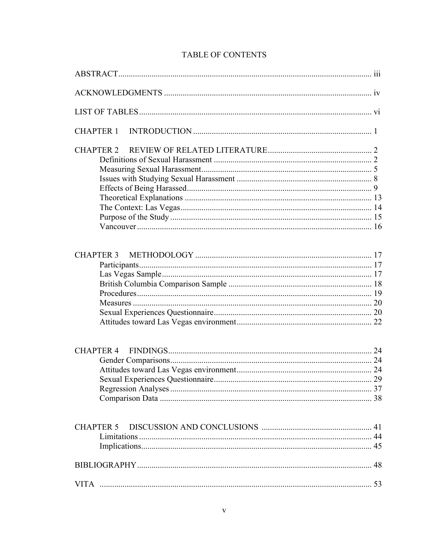# TABLE OF CONTENTS

| <b>CHAPTER 1</b> |  |
|------------------|--|
| <b>CHAPTER 2</b> |  |
|                  |  |
| <b>CHAPTER 4</b> |  |
| <b>CHAPTER 5</b> |  |
|                  |  |
| <b>VITA</b>      |  |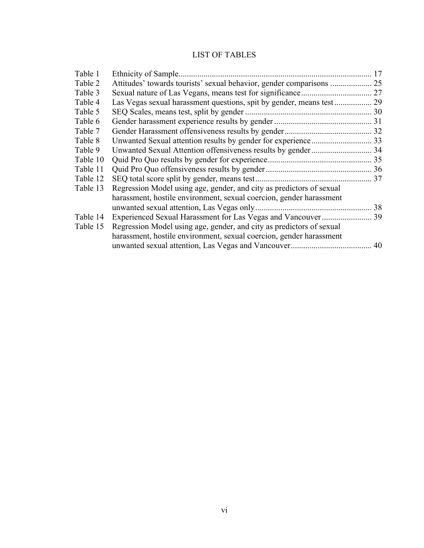# LIST OF TABLES

| Table 1  | Ethnicity of Sample                                                  | 17 |
|----------|----------------------------------------------------------------------|----|
| Table 2  |                                                                      |    |
| Table 3  |                                                                      |    |
| Table 4  |                                                                      |    |
| Table 5  |                                                                      |    |
| Table 6  |                                                                      |    |
| Table 7  |                                                                      |    |
| Table 8  |                                                                      |    |
| Table 9  |                                                                      |    |
| Table 10 |                                                                      |    |
| Table 11 |                                                                      |    |
| Table 12 |                                                                      |    |
| Table 13 | Regression Model using age, gender, and city as predictors of sexual |    |
|          | harassment, hostile environment, sexual coercion, gender harassment  |    |
|          |                                                                      |    |
| Table 14 | Experienced Sexual Harassment for Las Vegas and Vancouver  39        |    |
| Table 15 | Regression Model using age, gender, and city as predictors of sexual |    |
|          | harassment, hostile environment, sexual coercion, gender harassment  |    |
|          |                                                                      |    |
|          |                                                                      |    |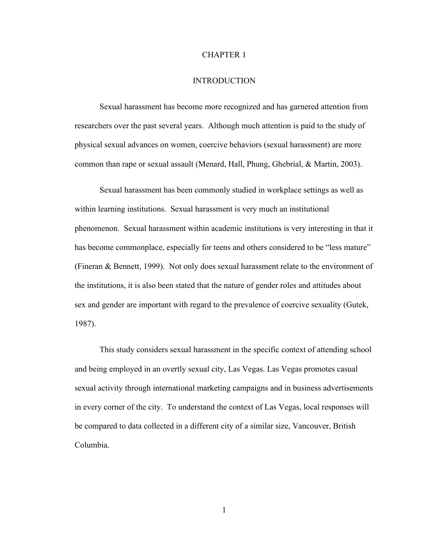### CHAPTER 1

#### INTRODUCTION

Sexual harassment has become more recognized and has garnered attention from researchers over the past several years. Although much attention is paid to the study of physical sexual advances on women, coercive behaviors (sexual harassment) are more common than rape or sexual assault (Menard, Hall, Phung, Ghebrial, & Martin, 2003).

Sexual harassment has been commonly studied in workplace settings as well as within learning institutions. Sexual harassment is very much an institutional phenomenon. Sexual harassment within academic institutions is very interesting in that it has become commonplace, especially for teens and others considered to be "less mature" (Fineran & Bennett, 1999). Not only does sexual harassment relate to the environment of the institutions, it is also been stated that the nature of gender roles and attitudes about sex and gender are important with regard to the prevalence of coercive sexuality (Gutek, 1987).

This study considers sexual harassment in the specific context of attending school and being employed in an overtly sexual city, Las Vegas. Las Vegas promotes casual sexual activity through international marketing campaigns and in business advertisements in every corner of the city. To understand the context of Las Vegas, local responses will be compared to data collected in a different city of a similar size, Vancouver, British Columbia.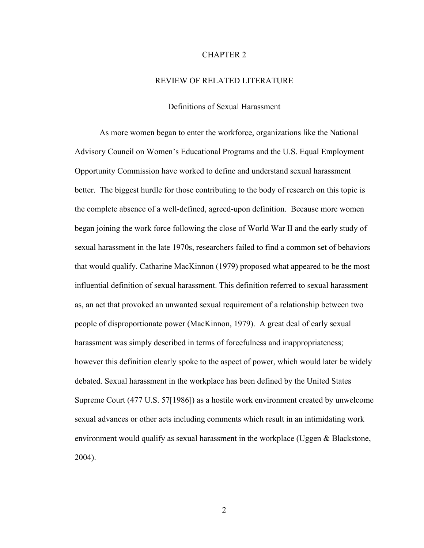## CHAPTER 2

## REVIEW OF RELATED LITERATURE

## Definitions of Sexual Harassment

As more women began to enter the workforce, organizations like the National Advisory Council on Women's Educational Programs and the U.S. Equal Employment Opportunity Commission have worked to define and understand sexual harassment better. The biggest hurdle for those contributing to the body of research on this topic is the complete absence of a well-defined, agreed-upon definition. Because more women began joining the work force following the close of World War II and the early study of sexual harassment in the late 1970s, researchers failed to find a common set of behaviors that would qualify. Catharine MacKinnon (1979) proposed what appeared to be the most influential definition of sexual harassment. This definition referred to sexual harassment as, an act that provoked an unwanted sexual requirement of a relationship between two people of disproportionate power (MacKinnon, 1979). A great deal of early sexual harassment was simply described in terms of forcefulness and inappropriateness; however this definition clearly spoke to the aspect of power, which would later be widely debated. Sexual harassment in the workplace has been defined by the United States Supreme Court (477 U.S. 57[1986]) as a hostile work environment created by unwelcome sexual advances or other acts including comments which result in an intimidating work environment would qualify as sexual harassment in the workplace (Uggen & Blackstone, 2004).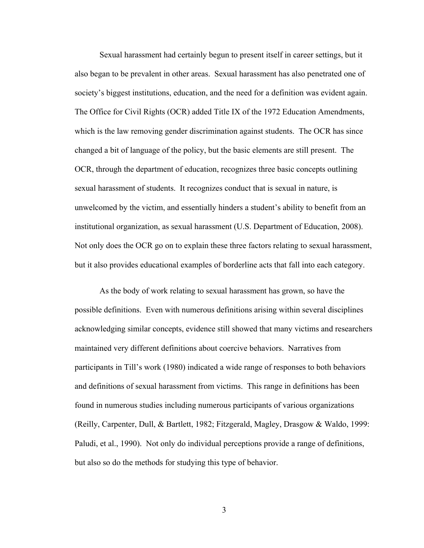Sexual harassment had certainly begun to present itself in career settings, but it also began to be prevalent in other areas. Sexual harassment has also penetrated one of society's biggest institutions, education, and the need for a definition was evident again. The Office for Civil Rights (OCR) added Title IX of the 1972 Education Amendments, which is the law removing gender discrimination against students. The OCR has since changed a bit of language of the policy, but the basic elements are still present. The OCR, through the department of education, recognizes three basic concepts outlining sexual harassment of students. It recognizes conduct that is sexual in nature, is unwelcomed by the victim, and essentially hinders a student's ability to benefit from an institutional organization, as sexual harassment (U.S. Department of Education, 2008). Not only does the OCR go on to explain these three factors relating to sexual harassment, but it also provides educational examples of borderline acts that fall into each category.

As the body of work relating to sexual harassment has grown, so have the possible definitions. Even with numerous definitions arising within several disciplines acknowledging similar concepts, evidence still showed that many victims and researchers maintained very different definitions about coercive behaviors. Narratives from participants in Till's work (1980) indicated a wide range of responses to both behaviors and definitions of sexual harassment from victims. This range in definitions has been found in numerous studies including numerous participants of various organizations (Reilly, Carpenter, Dull, & Bartlett, 1982; Fitzgerald, Magley, Drasgow & Waldo, 1999: Paludi, et al., 1990). Not only do individual perceptions provide a range of definitions, but also so do the methods for studying this type of behavior.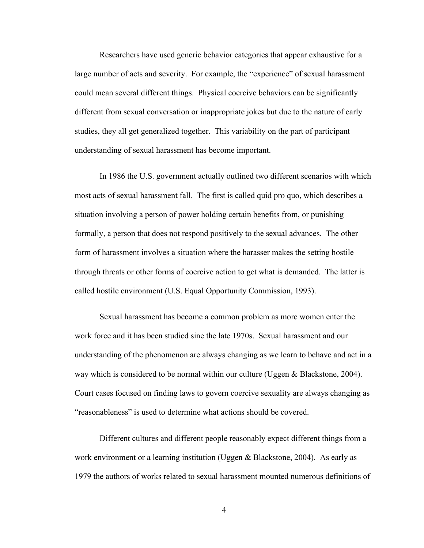Researchers have used generic behavior categories that appear exhaustive for a large number of acts and severity. For example, the "experience" of sexual harassment could mean several different things. Physical coercive behaviors can be significantly different from sexual conversation or inappropriate jokes but due to the nature of early studies, they all get generalized together. This variability on the part of participant understanding of sexual harassment has become important.

In 1986 the U.S. government actually outlined two different scenarios with which most acts of sexual harassment fall. The first is called quid pro quo, which describes a situation involving a person of power holding certain benefits from, or punishing formally, a person that does not respond positively to the sexual advances. The other form of harassment involves a situation where the harasser makes the setting hostile through threats or other forms of coercive action to get what is demanded. The latter is called hostile environment (U.S. Equal Opportunity Commission, 1993).

Sexual harassment has become a common problem as more women enter the work force and it has been studied sine the late 1970s. Sexual harassment and our understanding of the phenomenon are always changing as we learn to behave and act in a way which is considered to be normal within our culture (Uggen & Blackstone, 2004). Court cases focused on finding laws to govern coercive sexuality are always changing as "reasonableness" is used to determine what actions should be covered.

Different cultures and different people reasonably expect different things from a work environment or a learning institution (Uggen & Blackstone, 2004). As early as 1979 the authors of works related to sexual harassment mounted numerous definitions of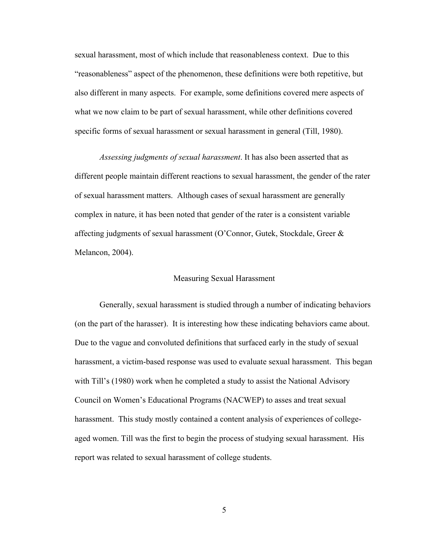sexual harassment, most of which include that reasonableness context. Due to this "reasonableness" aspect of the phenomenon, these definitions were both repetitive, but also different in many aspects. For example, some definitions covered mere aspects of what we now claim to be part of sexual harassment, while other definitions covered specific forms of sexual harassment or sexual harassment in general (Till, 1980).

*Assessing judgments of sexual harassment*. It has also been asserted that as different people maintain different reactions to sexual harassment, the gender of the rater of sexual harassment matters. Although cases of sexual harassment are generally complex in nature, it has been noted that gender of the rater is a consistent variable affecting judgments of sexual harassment (O'Connor, Gutek, Stockdale, Greer & Melancon, 2004).

## Measuring Sexual Harassment

Generally, sexual harassment is studied through a number of indicating behaviors (on the part of the harasser). It is interesting how these indicating behaviors came about. Due to the vague and convoluted definitions that surfaced early in the study of sexual harassment, a victim-based response was used to evaluate sexual harassment. This began with Till's (1980) work when he completed a study to assist the National Advisory Council on Women's Educational Programs (NACWEP) to asses and treat sexual harassment. This study mostly contained a content analysis of experiences of collegeaged women. Till was the first to begin the process of studying sexual harassment. His report was related to sexual harassment of college students.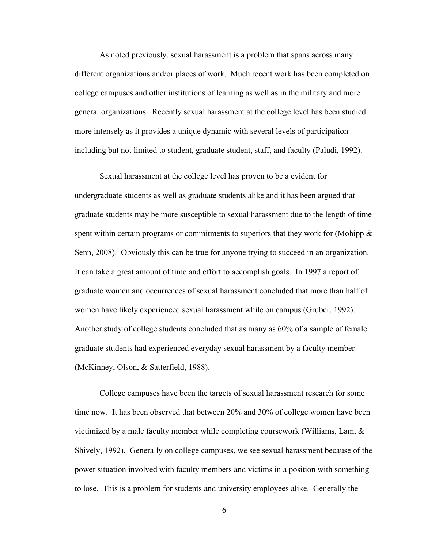As noted previously, sexual harassment is a problem that spans across many different organizations and/or places of work. Much recent work has been completed on college campuses and other institutions of learning as well as in the military and more general organizations. Recently sexual harassment at the college level has been studied more intensely as it provides a unique dynamic with several levels of participation including but not limited to student, graduate student, staff, and faculty (Paludi, 1992).

Sexual harassment at the college level has proven to be a evident for undergraduate students as well as graduate students alike and it has been argued that graduate students may be more susceptible to sexual harassment due to the length of time spent within certain programs or commitments to superiors that they work for (Mohipp  $\&$ Senn, 2008). Obviously this can be true for anyone trying to succeed in an organization. It can take a great amount of time and effort to accomplish goals. In 1997 a report of graduate women and occurrences of sexual harassment concluded that more than half of women have likely experienced sexual harassment while on campus (Gruber, 1992). Another study of college students concluded that as many as 60% of a sample of female graduate students had experienced everyday sexual harassment by a faculty member (McKinney, Olson, & Satterfield, 1988).

College campuses have been the targets of sexual harassment research for some time now. It has been observed that between 20% and 30% of college women have been victimized by a male faculty member while completing coursework (Williams, Lam, & Shively, 1992). Generally on college campuses, we see sexual harassment because of the power situation involved with faculty members and victims in a position with something to lose. This is a problem for students and university employees alike. Generally the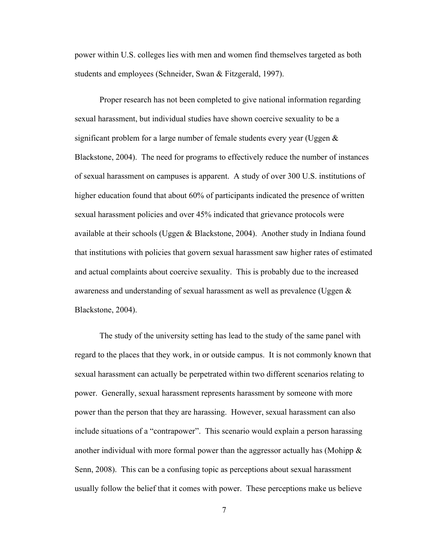power within U.S. colleges lies with men and women find themselves targeted as both students and employees (Schneider, Swan & Fitzgerald, 1997).

Proper research has not been completed to give national information regarding sexual harassment, but individual studies have shown coercive sexuality to be a significant problem for a large number of female students every year (Uggen  $\&$ Blackstone, 2004). The need for programs to effectively reduce the number of instances of sexual harassment on campuses is apparent. A study of over 300 U.S. institutions of higher education found that about 60% of participants indicated the presence of written sexual harassment policies and over 45% indicated that grievance protocols were available at their schools (Uggen & Blackstone, 2004). Another study in Indiana found that institutions with policies that govern sexual harassment saw higher rates of estimated and actual complaints about coercive sexuality. This is probably due to the increased awareness and understanding of sexual harassment as well as prevalence (Uggen & Blackstone, 2004).

The study of the university setting has lead to the study of the same panel with regard to the places that they work, in or outside campus. It is not commonly known that sexual harassment can actually be perpetrated within two different scenarios relating to power. Generally, sexual harassment represents harassment by someone with more power than the person that they are harassing. However, sexual harassment can also include situations of a "contrapower". This scenario would explain a person harassing another individual with more formal power than the aggressor actually has (Mohipp  $\&$ Senn, 2008). This can be a confusing topic as perceptions about sexual harassment usually follow the belief that it comes with power. These perceptions make us believe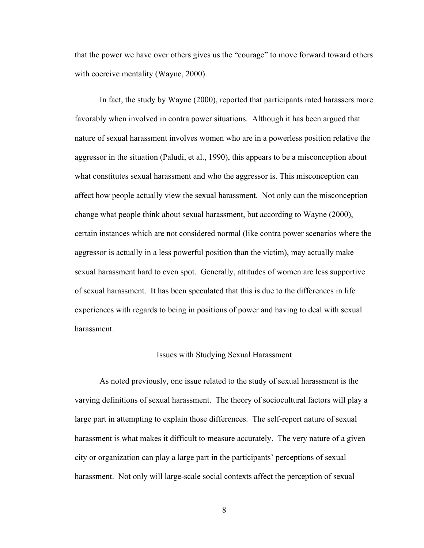that the power we have over others gives us the "courage" to move forward toward others with coercive mentality (Wayne, 2000).

In fact, the study by Wayne (2000), reported that participants rated harassers more favorably when involved in contra power situations. Although it has been argued that nature of sexual harassment involves women who are in a powerless position relative the aggressor in the situation (Paludi, et al., 1990), this appears to be a misconception about what constitutes sexual harassment and who the aggressor is. This misconception can affect how people actually view the sexual harassment. Not only can the misconception change what people think about sexual harassment, but according to Wayne (2000), certain instances which are not considered normal (like contra power scenarios where the aggressor is actually in a less powerful position than the victim), may actually make sexual harassment hard to even spot. Generally, attitudes of women are less supportive of sexual harassment. It has been speculated that this is due to the differences in life experiences with regards to being in positions of power and having to deal with sexual harassment.

## Issues with Studying Sexual Harassment

As noted previously, one issue related to the study of sexual harassment is the varying definitions of sexual harassment. The theory of sociocultural factors will play a large part in attempting to explain those differences. The self-report nature of sexual harassment is what makes it difficult to measure accurately. The very nature of a given city or organization can play a large part in the participants' perceptions of sexual harassment. Not only will large-scale social contexts affect the perception of sexual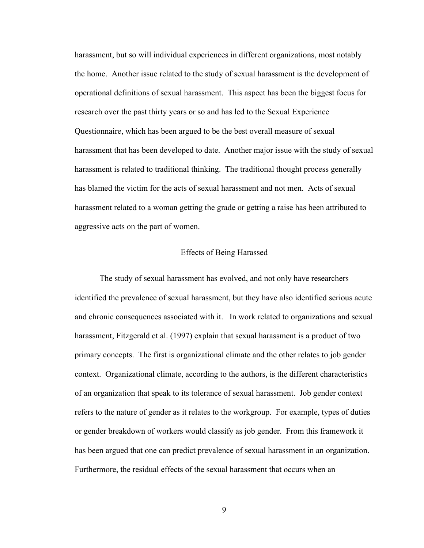harassment, but so will individual experiences in different organizations, most notably the home. Another issue related to the study of sexual harassment is the development of operational definitions of sexual harassment. This aspect has been the biggest focus for research over the past thirty years or so and has led to the Sexual Experience Questionnaire, which has been argued to be the best overall measure of sexual harassment that has been developed to date. Another major issue with the study of sexual harassment is related to traditional thinking. The traditional thought process generally has blamed the victim for the acts of sexual harassment and not men. Acts of sexual harassment related to a woman getting the grade or getting a raise has been attributed to aggressive acts on the part of women.

## Effects of Being Harassed

The study of sexual harassment has evolved, and not only have researchers identified the prevalence of sexual harassment, but they have also identified serious acute and chronic consequences associated with it. In work related to organizations and sexual harassment, Fitzgerald et al. (1997) explain that sexual harassment is a product of two primary concepts. The first is organizational climate and the other relates to job gender context. Organizational climate, according to the authors, is the different characteristics of an organization that speak to its tolerance of sexual harassment. Job gender context refers to the nature of gender as it relates to the workgroup. For example, types of duties or gender breakdown of workers would classify as job gender. From this framework it has been argued that one can predict prevalence of sexual harassment in an organization. Furthermore, the residual effects of the sexual harassment that occurs when an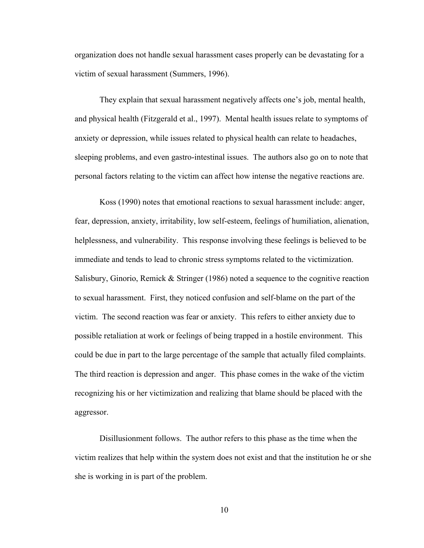organization does not handle sexual harassment cases properly can be devastating for a victim of sexual harassment (Summers, 1996).

They explain that sexual harassment negatively affects one's job, mental health, and physical health (Fitzgerald et al., 1997). Mental health issues relate to symptoms of anxiety or depression, while issues related to physical health can relate to headaches, sleeping problems, and even gastro-intestinal issues. The authors also go on to note that personal factors relating to the victim can affect how intense the negative reactions are.

Koss (1990) notes that emotional reactions to sexual harassment include: anger, fear, depression, anxiety, irritability, low self-esteem, feelings of humiliation, alienation, helplessness, and vulnerability. This response involving these feelings is believed to be immediate and tends to lead to chronic stress symptoms related to the victimization. Salisbury, Ginorio, Remick & Stringer (1986) noted a sequence to the cognitive reaction to sexual harassment. First, they noticed confusion and self-blame on the part of the victim. The second reaction was fear or anxiety. This refers to either anxiety due to possible retaliation at work or feelings of being trapped in a hostile environment. This could be due in part to the large percentage of the sample that actually filed complaints. The third reaction is depression and anger. This phase comes in the wake of the victim recognizing his or her victimization and realizing that blame should be placed with the aggressor.

Disillusionment follows. The author refers to this phase as the time when the victim realizes that help within the system does not exist and that the institution he or she she is working in is part of the problem.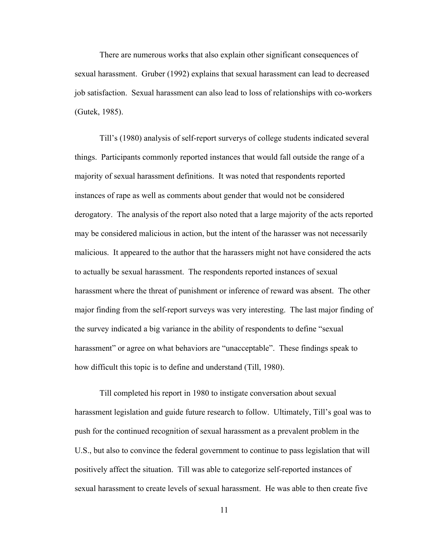There are numerous works that also explain other significant consequences of sexual harassment. Gruber (1992) explains that sexual harassment can lead to decreased job satisfaction. Sexual harassment can also lead to loss of relationships with co-workers (Gutek, 1985).

Till's (1980) analysis of self-report surverys of college students indicated several things. Participants commonly reported instances that would fall outside the range of a majority of sexual harassment definitions. It was noted that respondents reported instances of rape as well as comments about gender that would not be considered derogatory. The analysis of the report also noted that a large majority of the acts reported may be considered malicious in action, but the intent of the harasser was not necessarily malicious. It appeared to the author that the harassers might not have considered the acts to actually be sexual harassment. The respondents reported instances of sexual harassment where the threat of punishment or inference of reward was absent. The other major finding from the self-report surveys was very interesting. The last major finding of the survey indicated a big variance in the ability of respondents to define "sexual harassment" or agree on what behaviors are "unacceptable". These findings speak to how difficult this topic is to define and understand (Till, 1980).

Till completed his report in 1980 to instigate conversation about sexual harassment legislation and guide future research to follow. Ultimately, Till's goal was to push for the continued recognition of sexual harassment as a prevalent problem in the U.S., but also to convince the federal government to continue to pass legislation that will positively affect the situation. Till was able to categorize self-reported instances of sexual harassment to create levels of sexual harassment. He was able to then create five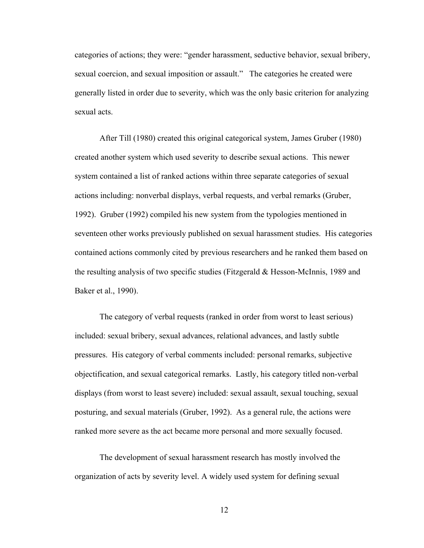categories of actions; they were: "gender harassment, seductive behavior, sexual bribery, sexual coercion, and sexual imposition or assault." The categories he created were generally listed in order due to severity, which was the only basic criterion for analyzing sexual acts.

After Till (1980) created this original categorical system, James Gruber (1980) created another system which used severity to describe sexual actions. This newer system contained a list of ranked actions within three separate categories of sexual actions including: nonverbal displays, verbal requests, and verbal remarks (Gruber, 1992). Gruber (1992) compiled his new system from the typologies mentioned in seventeen other works previously published on sexual harassment studies. His categories contained actions commonly cited by previous researchers and he ranked them based on the resulting analysis of two specific studies (Fitzgerald & Hesson-McInnis, 1989 and Baker et al., 1990).

The category of verbal requests (ranked in order from worst to least serious) included: sexual bribery, sexual advances, relational advances, and lastly subtle pressures. His category of verbal comments included: personal remarks, subjective objectification, and sexual categorical remarks. Lastly, his category titled non-verbal displays (from worst to least severe) included: sexual assault, sexual touching, sexual posturing, and sexual materials (Gruber, 1992). As a general rule, the actions were ranked more severe as the act became more personal and more sexually focused.

The development of sexual harassment research has mostly involved the organization of acts by severity level. A widely used system for defining sexual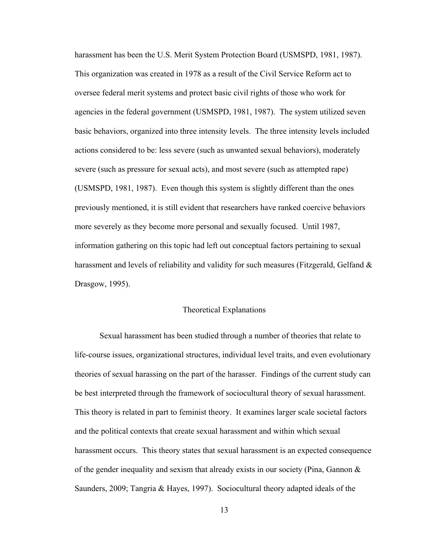harassment has been the U.S. Merit System Protection Board (USMSPD, 1981, 1987). This organization was created in 1978 as a result of the Civil Service Reform act to oversee federal merit systems and protect basic civil rights of those who work for agencies in the federal government (USMSPD, 1981, 1987). The system utilized seven basic behaviors, organized into three intensity levels. The three intensity levels included actions considered to be: less severe (such as unwanted sexual behaviors), moderately severe (such as pressure for sexual acts), and most severe (such as attempted rape) (USMSPD, 1981, 1987). Even though this system is slightly different than the ones previously mentioned, it is still evident that researchers have ranked coercive behaviors more severely as they become more personal and sexually focused. Until 1987, information gathering on this topic had left out conceptual factors pertaining to sexual harassment and levels of reliability and validity for such measures (Fitzgerald, Gelfand & Drasgow, 1995).

# Theoretical Explanations

Sexual harassment has been studied through a number of theories that relate to life-course issues, organizational structures, individual level traits, and even evolutionary theories of sexual harassing on the part of the harasser. Findings of the current study can be best interpreted through the framework of sociocultural theory of sexual harassment. This theory is related in part to feminist theory. It examines larger scale societal factors and the political contexts that create sexual harassment and within which sexual harassment occurs. This theory states that sexual harassment is an expected consequence of the gender inequality and sexism that already exists in our society (Pina, Gannon  $\&$ Saunders, 2009; Tangria & Hayes, 1997). Sociocultural theory adapted ideals of the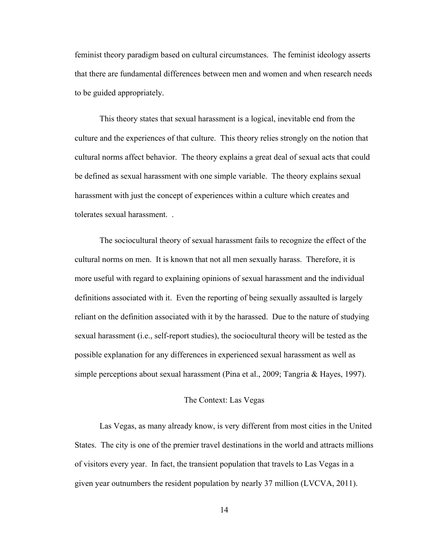feminist theory paradigm based on cultural circumstances. The feminist ideology asserts that there are fundamental differences between men and women and when research needs to be guided appropriately.

This theory states that sexual harassment is a logical, inevitable end from the culture and the experiences of that culture. This theory relies strongly on the notion that cultural norms affect behavior. The theory explains a great deal of sexual acts that could be defined as sexual harassment with one simple variable. The theory explains sexual harassment with just the concept of experiences within a culture which creates and tolerates sexual harassment. .

The sociocultural theory of sexual harassment fails to recognize the effect of the cultural norms on men. It is known that not all men sexually harass. Therefore, it is more useful with regard to explaining opinions of sexual harassment and the individual definitions associated with it. Even the reporting of being sexually assaulted is largely reliant on the definition associated with it by the harassed. Due to the nature of studying sexual harassment (i.e., self-report studies), the sociocultural theory will be tested as the possible explanation for any differences in experienced sexual harassment as well as simple perceptions about sexual harassment (Pina et al., 2009; Tangria & Hayes, 1997).

## The Context: Las Vegas

Las Vegas, as many already know, is very different from most cities in the United States. The city is one of the premier travel destinations in the world and attracts millions of visitors every year. In fact, the transient population that travels to Las Vegas in a given year outnumbers the resident population by nearly 37 million (LVCVA, 2011).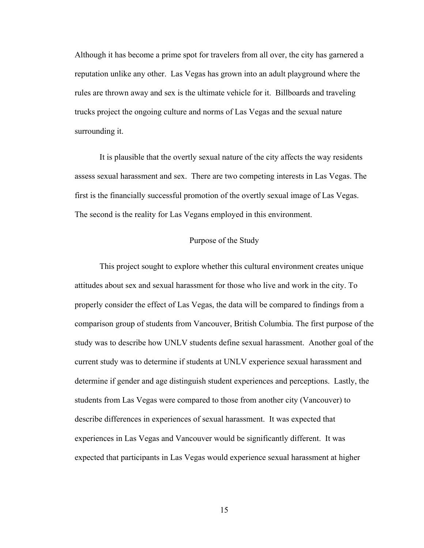Although it has become a prime spot for travelers from all over, the city has garnered a reputation unlike any other. Las Vegas has grown into an adult playground where the rules are thrown away and sex is the ultimate vehicle for it. Billboards and traveling trucks project the ongoing culture and norms of Las Vegas and the sexual nature surrounding it.

It is plausible that the overtly sexual nature of the city affects the way residents assess sexual harassment and sex. There are two competing interests in Las Vegas. The first is the financially successful promotion of the overtly sexual image of Las Vegas. The second is the reality for Las Vegans employed in this environment.

# Purpose of the Study

This project sought to explore whether this cultural environment creates unique attitudes about sex and sexual harassment for those who live and work in the city. To properly consider the effect of Las Vegas, the data will be compared to findings from a comparison group of students from Vancouver, British Columbia. The first purpose of the study was to describe how UNLV students define sexual harassment. Another goal of the current study was to determine if students at UNLV experience sexual harassment and determine if gender and age distinguish student experiences and perceptions. Lastly, the students from Las Vegas were compared to those from another city (Vancouver) to describe differences in experiences of sexual harassment. It was expected that experiences in Las Vegas and Vancouver would be significantly different. It was expected that participants in Las Vegas would experience sexual harassment at higher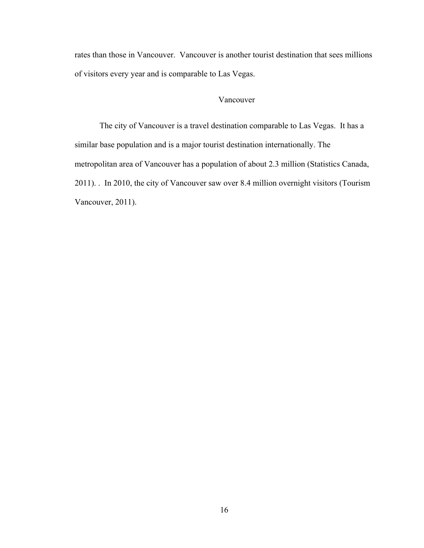rates than those in Vancouver. Vancouver is another tourist destination that sees millions of visitors every year and is comparable to Las Vegas.

# Vancouver

The city of Vancouver is a travel destination comparable to Las Vegas. It has a similar base population and is a major tourist destination internationally. The metropolitan area of Vancouver has a population of about 2.3 million (Statistics Canada, 2011). . In 2010, the city of Vancouver saw over 8.4 million overnight visitors (Tourism Vancouver, 2011).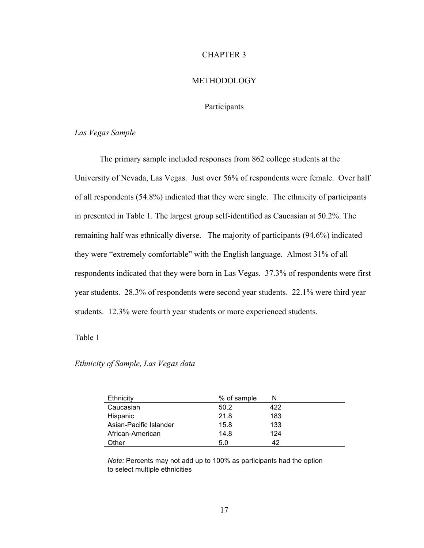## CHAPTER 3

## METHODOLOGY

# **Participants**

## *Las Vegas Sample*

The primary sample included responses from 862 college students at the University of Nevada, Las Vegas. Just over 56% of respondents were female. Over half of all respondents (54.8%) indicated that they were single. The ethnicity of participants in presented in Table 1. The largest group self-identified as Caucasian at 50.2%. The remaining half was ethnically diverse. The majority of participants (94.6%) indicated they were "extremely comfortable" with the English language. Almost 31% of all respondents indicated that they were born in Las Vegas. 37.3% of respondents were first year students. 28.3% of respondents were second year students. 22.1% were third year students. 12.3% were fourth year students or more experienced students.

#### Table 1

## *Ethnicity of Sample, Las Vegas data*

| Ethnicity              | % of sample | N   |
|------------------------|-------------|-----|
| Caucasian              | 50.2        | 422 |
| Hispanic               | 21.8        | 183 |
| Asian-Pacific Islander | 15.8        | 133 |
| African-American       | 14.8        | 124 |
| Other                  | 5.0         | 42  |

*Note:* Percents may not add up to 100% as participants had the option to select multiple ethnicities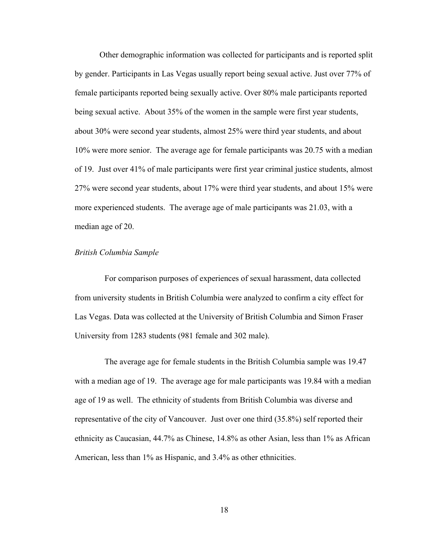Other demographic information was collected for participants and is reported split by gender. Participants in Las Vegas usually report being sexual active. Just over 77% of female participants reported being sexually active. Over 80% male participants reported being sexual active. About 35% of the women in the sample were first year students, about 30% were second year students, almost 25% were third year students, and about 10% were more senior. The average age for female participants was 20.75 with a median of 19. Just over 41% of male participants were first year criminal justice students, almost 27% were second year students, about 17% were third year students, and about 15% were more experienced students. The average age of male participants was 21.03, with a median age of 20.

## *British Columbia Sample*

For comparison purposes of experiences of sexual harassment, data collected from university students in British Columbia were analyzed to confirm a city effect for Las Vegas. Data was collected at the University of British Columbia and Simon Fraser University from 1283 students (981 female and 302 male).

The average age for female students in the British Columbia sample was 19.47 with a median age of 19. The average age for male participants was 19.84 with a median age of 19 as well. The ethnicity of students from British Columbia was diverse and representative of the city of Vancouver. Just over one third (35.8%) self reported their ethnicity as Caucasian, 44.7% as Chinese, 14.8% as other Asian, less than 1% as African American, less than 1% as Hispanic, and 3.4% as other ethnicities.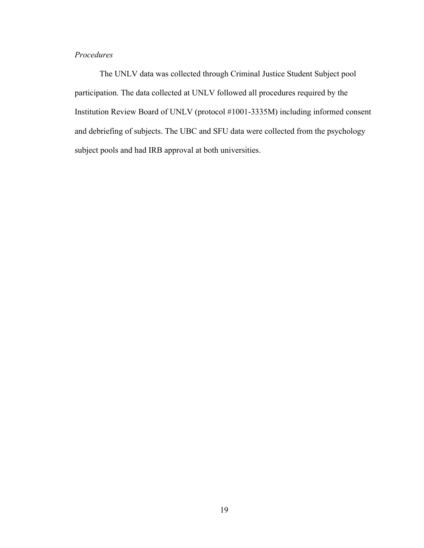# *Procedures*

The UNLV data was collected through Criminal Justice Student Subject pool participation. The data collected at UNLV followed all procedures required by the Institution Review Board of UNLV (protocol #1001-3335M) including informed consent and debriefing of subjects. The UBC and SFU data were collected from the psychology subject pools and had IRB approval at both universities.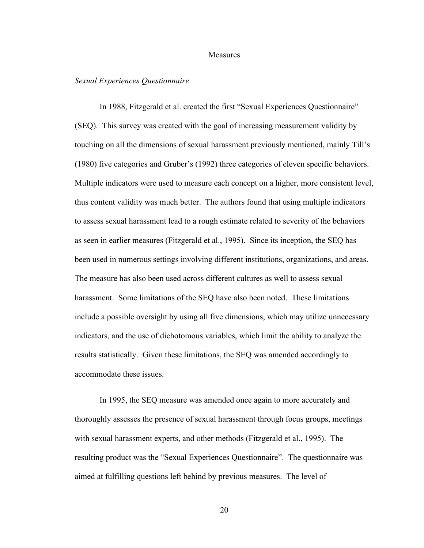## Measures

## *Sexual Experiences Questionnaire*

In 1988, Fitzgerald et al. created the first "Sexual Experiences Questionnaire" (SEQ). This survey was created with the goal of increasing measurement validity by touching on all the dimensions of sexual harassment previously mentioned, mainly Till's (1980) five categories and Gruber's (1992) three categories of eleven specific behaviors. Multiple indicators were used to measure each concept on a higher, more consistent level, thus content validity was much better. The authors found that using multiple indicators to assess sexual harassment lead to a rough estimate related to severity of the behaviors as seen in earlier measures (Fitzgerald et al., 1995). Since its inception, the SEQ has been used in numerous settings involving different institutions, organizations, and areas. The measure has also been used across different cultures as well to assess sexual harassment. Some limitations of the SEQ have also been noted. These limitations include a possible oversight by using all five dimensions, which may utilize unnecessary indicators, and the use of dichotomous variables, which limit the ability to analyze the results statistically. Given these limitations, the SEQ was amended accordingly to accommodate these issues.

In 1995, the SEQ measure was amended once again to more accurately and thoroughly assesses the presence of sexual harassment through focus groups, meetings with sexual harassment experts, and other methods (Fitzgerald et al., 1995). The resulting product was the "Sexual Experiences Questionnaire". The questionnaire was aimed at fulfilling questions left behind by previous measures. The level of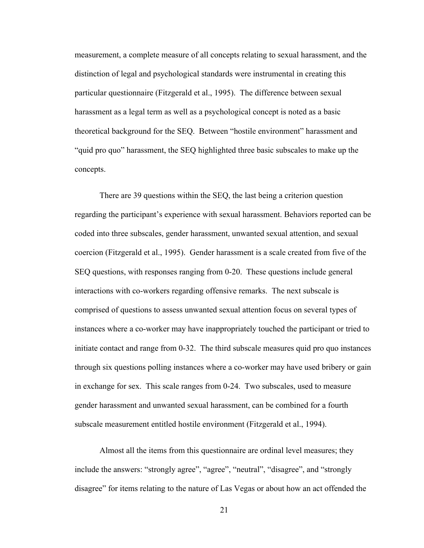measurement, a complete measure of all concepts relating to sexual harassment, and the distinction of legal and psychological standards were instrumental in creating this particular questionnaire (Fitzgerald et al., 1995). The difference between sexual harassment as a legal term as well as a psychological concept is noted as a basic theoretical background for the SEQ. Between "hostile environment" harassment and "quid pro quo" harassment, the SEQ highlighted three basic subscales to make up the concepts.

There are 39 questions within the SEQ, the last being a criterion question regarding the participant's experience with sexual harassment. Behaviors reported can be coded into three subscales, gender harassment, unwanted sexual attention, and sexual coercion (Fitzgerald et al., 1995). Gender harassment is a scale created from five of the SEQ questions, with responses ranging from 0-20. These questions include general interactions with co-workers regarding offensive remarks. The next subscale is comprised of questions to assess unwanted sexual attention focus on several types of instances where a co-worker may have inappropriately touched the participant or tried to initiate contact and range from 0-32. The third subscale measures quid pro quo instances through six questions polling instances where a co-worker may have used bribery or gain in exchange for sex. This scale ranges from 0-24. Two subscales, used to measure gender harassment and unwanted sexual harassment, can be combined for a fourth subscale measurement entitled hostile environment (Fitzgerald et al., 1994).

Almost all the items from this questionnaire are ordinal level measures; they include the answers: "strongly agree", "agree", "neutral", "disagree", and "strongly disagree" for items relating to the nature of Las Vegas or about how an act offended the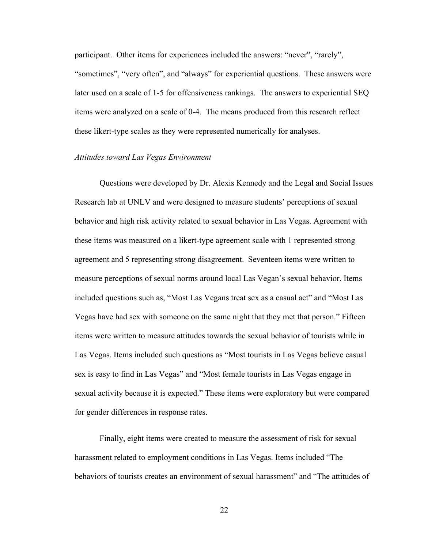participant. Other items for experiences included the answers: "never", "rarely", "sometimes", "very often", and "always" for experiential questions. These answers were later used on a scale of 1-5 for offensiveness rankings. The answers to experiential SEQ items were analyzed on a scale of 0-4. The means produced from this research reflect these likert-type scales as they were represented numerically for analyses.

## *Attitudes toward Las Vegas Environment*

Questions were developed by Dr. Alexis Kennedy and the Legal and Social Issues Research lab at UNLV and were designed to measure students' perceptions of sexual behavior and high risk activity related to sexual behavior in Las Vegas. Agreement with these items was measured on a likert-type agreement scale with 1 represented strong agreement and 5 representing strong disagreement. Seventeen items were written to measure perceptions of sexual norms around local Las Vegan's sexual behavior. Items included questions such as, "Most Las Vegans treat sex as a casual act" and "Most Las Vegas have had sex with someone on the same night that they met that person." Fifteen items were written to measure attitudes towards the sexual behavior of tourists while in Las Vegas. Items included such questions as "Most tourists in Las Vegas believe casual sex is easy to find in Las Vegas" and "Most female tourists in Las Vegas engage in sexual activity because it is expected." These items were exploratory but were compared for gender differences in response rates.

Finally, eight items were created to measure the assessment of risk for sexual harassment related to employment conditions in Las Vegas. Items included "The behaviors of tourists creates an environment of sexual harassment" and "The attitudes of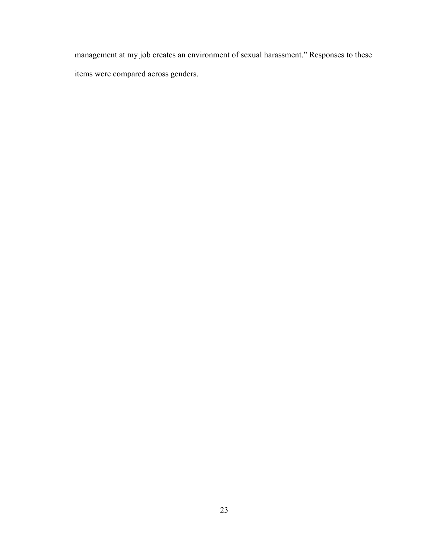management at my job creates an environment of sexual harassment." Responses to these items were compared across genders.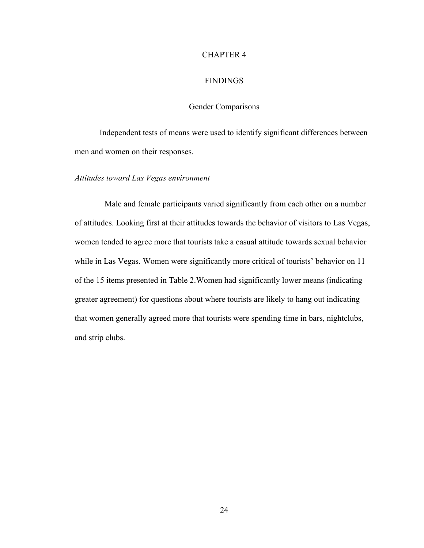#### CHAPTER 4

## **FINDINGS**

# Gender Comparisons

Independent tests of means were used to identify significant differences between men and women on their responses.

## *Attitudes toward Las Vegas environment*

Male and female participants varied significantly from each other on a number of attitudes. Looking first at their attitudes towards the behavior of visitors to Las Vegas, women tended to agree more that tourists take a casual attitude towards sexual behavior while in Las Vegas. Women were significantly more critical of tourists' behavior on 11 of the 15 items presented in Table 2.Women had significantly lower means (indicating greater agreement) for questions about where tourists are likely to hang out indicating that women generally agreed more that tourists were spending time in bars, nightclubs, and strip clubs.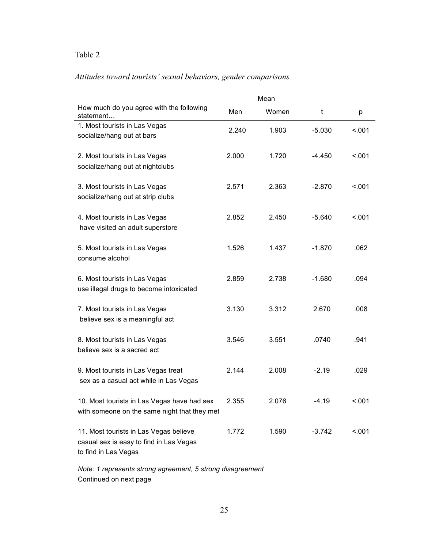# *Attitudes toward tourists' sexual behaviors, gender comparisons*

|                                                                                                           |       | Mean  |          |        |
|-----------------------------------------------------------------------------------------------------------|-------|-------|----------|--------|
| How much do you agree with the following<br>statement                                                     | Men   | Women | t        | р      |
| 1. Most tourists in Las Vegas<br>socialize/hang out at bars                                               | 2.240 | 1.903 | $-5.030$ | < 001  |
| 2. Most tourists in Las Vegas<br>socialize/hang out at nightclubs                                         | 2.000 | 1.720 | $-4.450$ | < 0.01 |
| 3. Most tourists in Las Vegas<br>socialize/hang out at strip clubs                                        | 2.571 | 2.363 | $-2.870$ | < .001 |
| 4. Most tourists in Las Vegas<br>have visited an adult superstore                                         | 2.852 | 2.450 | $-5.640$ | < 0.01 |
| 5. Most tourists in Las Vegas<br>consume alcohol                                                          | 1.526 | 1.437 | $-1.870$ | .062   |
| 6. Most tourists in Las Vegas<br>use illegal drugs to become intoxicated                                  | 2.859 | 2.738 | $-1.680$ | .094   |
| 7. Most tourists in Las Vegas<br>believe sex is a meaningful act                                          | 3.130 | 3.312 | 2.670    | .008   |
| 8. Most tourists in Las Vegas<br>believe sex is a sacred act                                              | 3.546 | 3.551 | .0740    | .941   |
| 9. Most tourists in Las Vegas treat<br>sex as a casual act while in Las Vegas                             | 2.144 | 2.008 | $-2.19$  | .029   |
| 10. Most tourists in Las Vegas have had sex<br>with someone on the same night that they met               | 2.355 | 2.076 | $-4.19$  | < 001  |
| 11. Most tourists in Las Vegas believe<br>casual sex is easy to find in Las Vegas<br>to find in Las Vegas | 1.772 | 1.590 | $-3.742$ | < .001 |

*Note: 1 represents strong agreement, 5 strong disagreement* Continued on next page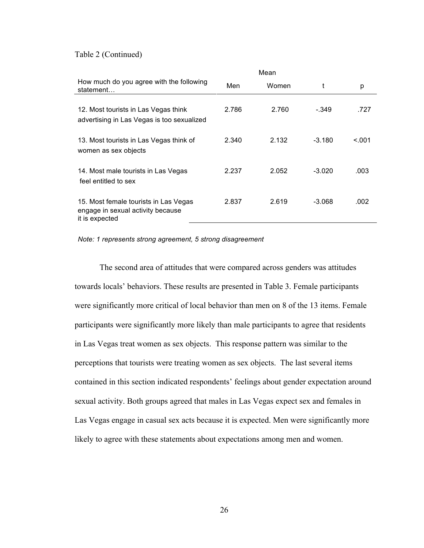Table 2 (Continued)

|                                                                                              | Mean  |       |          |       |  |
|----------------------------------------------------------------------------------------------|-------|-------|----------|-------|--|
| How much do you agree with the following<br>statement                                        | Men   | Women | t        | р     |  |
| 12. Most tourists in Las Vegas think<br>advertising in Las Vegas is too sexualized           | 2.786 | 2.760 | $-.349$  | .727  |  |
| 13. Most tourists in Las Vegas think of<br>women as sex objects                              | 2.340 | 2.132 | $-3.180$ | < 001 |  |
| 14. Most male tourists in Las Vegas<br>feel entitled to sex                                  | 2.237 | 2.052 | $-3.020$ | .003  |  |
| 15. Most female tourists in Las Vegas<br>engage in sexual activity because<br>it is expected | 2.837 | 2.619 | $-3.068$ | .002  |  |

*Note: 1 represents strong agreement, 5 strong disagreement*

The second area of attitudes that were compared across genders was attitudes towards locals' behaviors. These results are presented in Table 3. Female participants were significantly more critical of local behavior than men on 8 of the 13 items. Female participants were significantly more likely than male participants to agree that residents in Las Vegas treat women as sex objects. This response pattern was similar to the perceptions that tourists were treating women as sex objects. The last several items contained in this section indicated respondents' feelings about gender expectation around sexual activity. Both groups agreed that males in Las Vegas expect sex and females in Las Vegas engage in casual sex acts because it is expected. Men were significantly more likely to agree with these statements about expectations among men and women.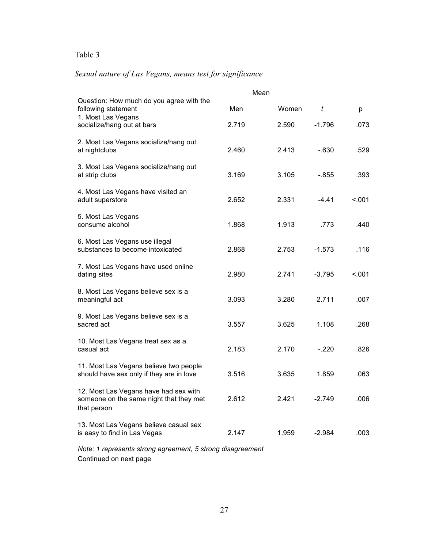# *Sexual nature of Las Vegans, means test for significance*

|                                                                                                 |       | Mean  |          |        |
|-------------------------------------------------------------------------------------------------|-------|-------|----------|--------|
| Question: How much do you agree with the<br>following statement                                 | Men   | Women | t        | p      |
| 1. Most Las Vegans<br>socialize/hang out at bars                                                | 2.719 | 2.590 | $-1.796$ | .073   |
| 2. Most Las Vegans socialize/hang out<br>at nightclubs                                          | 2.460 | 2.413 | $-630$   | .529   |
| 3. Most Las Vegans socialize/hang out<br>at strip clubs                                         | 3.169 | 3.105 | $-.855$  | .393   |
| 4. Most Las Vegans have visited an<br>adult superstore                                          | 2.652 | 2.331 | $-4.41$  | < .001 |
| 5. Most Las Vegans<br>consume alcohol                                                           | 1.868 | 1.913 | .773     | .440   |
| 6. Most Las Vegans use illegal<br>substances to become intoxicated                              | 2.868 | 2.753 | $-1.573$ | .116   |
| 7. Most Las Vegans have used online<br>dating sites                                             | 2.980 | 2.741 | $-3.795$ | < .001 |
| 8. Most Las Vegans believe sex is a<br>meaningful act                                           | 3.093 | 3.280 | 2.711    | .007   |
| 9. Most Las Vegans believe sex is a<br>sacred act                                               | 3.557 | 3.625 | 1.108    | .268   |
| 10. Most Las Vegans treat sex as a<br>casual act                                                | 2.183 | 2.170 | $-.220$  | .826   |
| 11. Most Las Vegans believe two people<br>should have sex only if they are in love              | 3.516 | 3.635 | 1.859    | .063   |
| 12. Most Las Vegans have had sex with<br>someone on the same night that they met<br>that person | 2.612 | 2.421 | $-2.749$ | .006   |
| 13. Most Las Vegans believe casual sex<br>is easy to find in Las Vegas                          | 2.147 | 1.959 | $-2.984$ | .003   |
| Note: 1 represents strong agreement, 5 strong disagreement                                      |       |       |          |        |

Continued on next page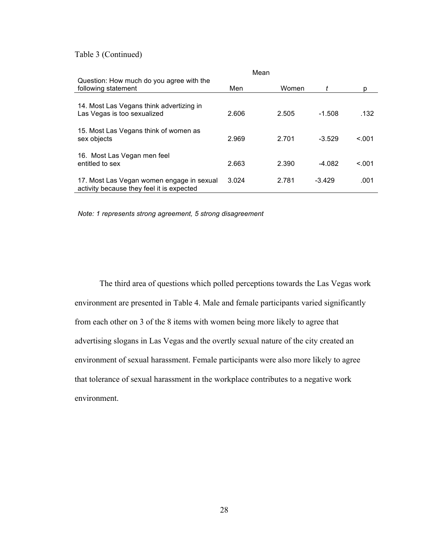Table 3 (Continued)

|                                                                                        | Mean  |       |          |        |
|----------------------------------------------------------------------------------------|-------|-------|----------|--------|
| Question: How much do you agree with the<br>following statement                        | Men   | Women |          | р      |
| 14. Most Las Vegans think advertizing in<br>Las Vegas is too sexualized                | 2.606 | 2.505 | $-1.508$ | .132   |
| 15. Most Las Vegans think of women as<br>sex objects                                   | 2.969 | 2.701 | $-3.529$ | < 0.01 |
| 16. Most Las Vegan men feel<br>entitled to sex                                         | 2.663 | 2.390 | $-4.082$ | < 0.01 |
| 17. Most Las Vegan women engage in sexual<br>activity because they feel it is expected | 3.024 | 2.781 | $-3.429$ | .001   |

*Note: 1 represents strong agreement, 5 strong disagreement*

The third area of questions which polled perceptions towards the Las Vegas work environment are presented in Table 4. Male and female participants varied significantly from each other on 3 of the 8 items with women being more likely to agree that advertising slogans in Las Vegas and the overtly sexual nature of the city created an environment of sexual harassment. Female participants were also more likely to agree that tolerance of sexual harassment in the workplace contributes to a negative work environment.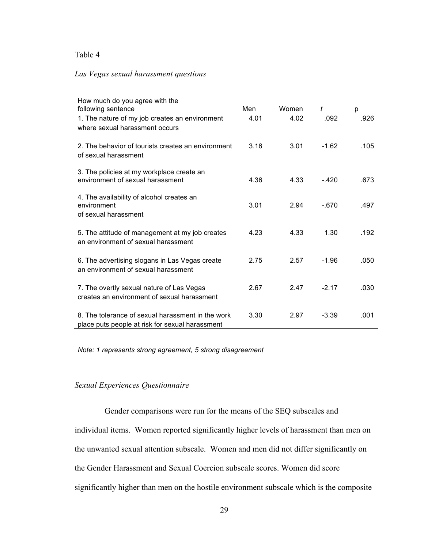## *Las Vegas sexual harassment questions*

| How much do you agree with the                                                                       |      |       |         |      |
|------------------------------------------------------------------------------------------------------|------|-------|---------|------|
| following sentence                                                                                   | Men  | Women | t       | p    |
| 1. The nature of my job creates an environment<br>where sexual harassment occurs                     | 4.01 | 4.02  | .092    | .926 |
| 2. The behavior of tourists creates an environment<br>of sexual harassment                           | 3.16 | 3.01  | $-1.62$ | .105 |
| 3. The policies at my workplace create an<br>environment of sexual harassment                        | 4.36 | 4.33  | $-.420$ | .673 |
| 4. The availability of alcohol creates an<br>environment<br>of sexual harassment                     | 3.01 | 2.94  | $-670$  | .497 |
| 5. The attitude of management at my job creates<br>an environment of sexual harassment               | 4.23 | 4.33  | 1.30    | .192 |
| 6. The advertising slogans in Las Vegas create<br>an environment of sexual harassment                | 2.75 | 2.57  | $-1.96$ | .050 |
| 7. The overtly sexual nature of Las Vegas<br>creates an environment of sexual harassment             | 2.67 | 2.47  | $-2.17$ | .030 |
| 8. The tolerance of sexual harassment in the work<br>place puts people at risk for sexual harassment | 3.30 | 2.97  | $-3.39$ | .001 |

*Note: 1 represents strong agreement, 5 strong disagreement*

# *Sexual Experiences Questionnaire*

Gender comparisons were run for the means of the SEQ subscales and individual items. Women reported significantly higher levels of harassment than men on the unwanted sexual attention subscale. Women and men did not differ significantly on the Gender Harassment and Sexual Coercion subscale scores. Women did score significantly higher than men on the hostile environment subscale which is the composite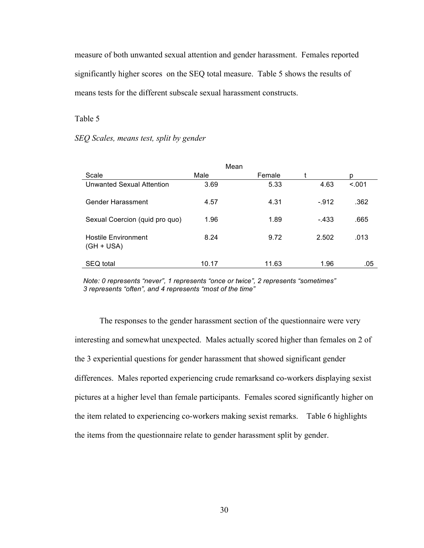measure of both unwanted sexual attention and gender harassment. Females reported significantly higher scores on the SEQ total measure. Table 5 shows the results of means tests for the different subscale sexual harassment constructs.

Table 5

*SEQ Scales, means test, split by gender*

| Mean                                       |       |        |        |        |  |  |  |
|--------------------------------------------|-------|--------|--------|--------|--|--|--|
| Scale                                      | Male  | Female |        | p      |  |  |  |
| Unwanted Sexual Attention                  | 3.69  | 5.33   | 4.63   | < .001 |  |  |  |
| Gender Harassment                          | 4.57  | 4.31   | $-912$ | .362   |  |  |  |
| Sexual Coercion (quid pro quo)             | 1.96  | 1.89   | $-433$ | .665   |  |  |  |
| <b>Hostile Environment</b><br>$(GH + USA)$ | 8.24  | 9.72   | 2.502  | .013   |  |  |  |
| SEQ total                                  | 10.17 | 11.63  | 1.96   | .05    |  |  |  |

*Note: 0 represents "never", 1 represents "once or twice", 2 represents "sometimes" 3 represents "often", and 4 represents "most of the time"*

The responses to the gender harassment section of the questionnaire were very interesting and somewhat unexpected. Males actually scored higher than females on 2 of the 3 experiential questions for gender harassment that showed significant gender differences. Males reported experiencing crude remarksand co-workers displaying sexist pictures at a higher level than female participants. Females scored significantly higher on the item related to experiencing co-workers making sexist remarks. Table 6 highlights the items from the questionnaire relate to gender harassment split by gender.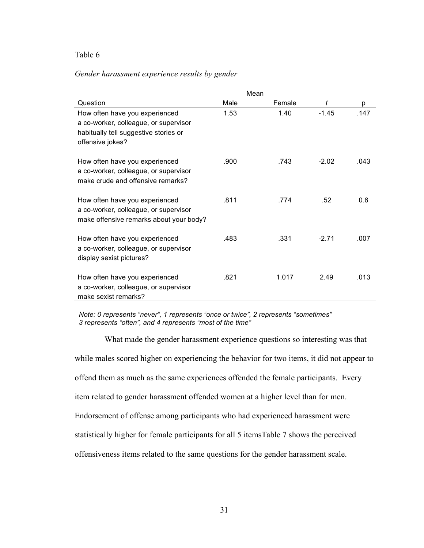## *Gender harassment experience results by gender*

|                                                                                                                                      | Mean |        |         |      |
|--------------------------------------------------------------------------------------------------------------------------------------|------|--------|---------|------|
| Question                                                                                                                             | Male | Female | t       | р    |
| How often have you experienced<br>a co-worker, colleague, or supervisor<br>habitually tell suggestive stories or<br>offensive jokes? | 1.53 | 1.40   | $-1.45$ | .147 |
| How often have you experienced<br>a co-worker, colleague, or supervisor<br>make crude and offensive remarks?                         | .900 | .743   | $-2.02$ | .043 |
| How often have you experienced<br>a co-worker, colleague, or supervisor<br>make offensive remarks about your body?                   | .811 | .774   | .52     | 0.6  |
| How often have you experienced<br>a co-worker, colleague, or supervisor<br>display sexist pictures?                                  | .483 | .331   | $-2.71$ | .007 |
| How often have you experienced<br>a co-worker, colleague, or supervisor<br>make sexist remarks?                                      | .821 | 1.017  | 2.49    | .013 |

*Note: 0 represents "never", 1 represents "once or twice", 2 represents "sometimes" 3 represents "often", and 4 represents "most of the time"*

What made the gender harassment experience questions so interesting was that while males scored higher on experiencing the behavior for two items, it did not appear to offend them as much as the same experiences offended the female participants. Every item related to gender harassment offended women at a higher level than for men. Endorsement of offense among participants who had experienced harassment were statistically higher for female participants for all 5 itemsTable 7 shows the perceived offensiveness items related to the same questions for the gender harassment scale.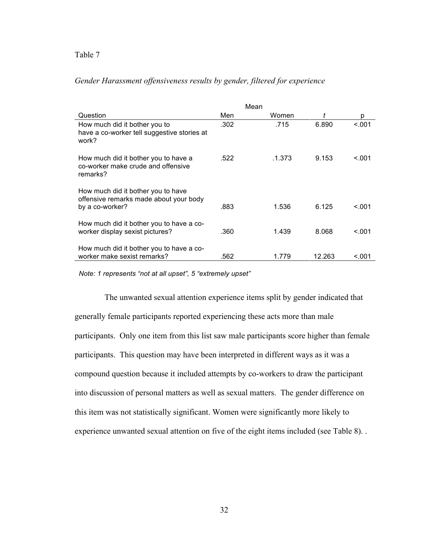# *Gender Harassment offensiveness results by gender, filtered for experience*

|                                                                                                 | Mean |  |        |  |        |        |
|-------------------------------------------------------------------------------------------------|------|--|--------|--|--------|--------|
| Question                                                                                        | Men  |  | Women  |  |        | р      |
| How much did it bother you to<br>have a co-worker tell suggestive stories at<br>work?           | .302 |  | .715   |  | 6.890  | < 0.01 |
| How much did it bother you to have a<br>co-worker make crude and offensive<br>remarks?          | .522 |  | .1.373 |  | 9.153  | < 0.01 |
| How much did it bother you to have<br>offensive remarks made about your body<br>by a co-worker? | .883 |  | 1.536  |  | 6.125  | <.001  |
| How much did it bother you to have a co-<br>worker display sexist pictures?                     | .360 |  | 1.439  |  | 8.068  | < 0.01 |
| How much did it bother you to have a co-<br>worker make sexist remarks?                         | .562 |  | 1.779  |  | 12.263 | <.001  |

*Note: 1 represents "not at all upset", 5 "extremely upset"*

The unwanted sexual attention experience items split by gender indicated that generally female participants reported experiencing these acts more than male participants. Only one item from this list saw male participants score higher than female participants. This question may have been interpreted in different ways as it was a compound question because it included attempts by co-workers to draw the participant into discussion of personal matters as well as sexual matters. The gender difference on this item was not statistically significant. Women were significantly more likely to experience unwanted sexual attention on five of the eight items included (see Table 8). .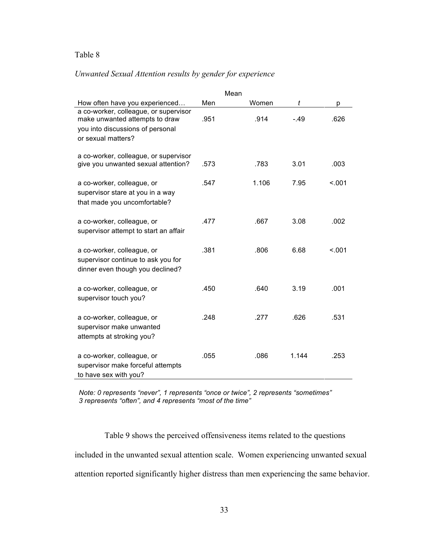# *Unwanted Sexual Attention results by gender for experience*

|                                                                                                                                   |      | Mean |       |        |        |
|-----------------------------------------------------------------------------------------------------------------------------------|------|------|-------|--------|--------|
| How often have you experienced                                                                                                    | Men  |      | Women | t      | р      |
| a co-worker, colleague, or supervisor<br>make unwanted attempts to draw<br>you into discussions of personal<br>or sexual matters? | .951 |      | .914  | $-.49$ | .626   |
| a co-worker, colleague, or supervisor<br>give you unwanted sexual attention?                                                      | .573 |      | .783  | 3.01   | .003   |
| a co-worker, colleague, or<br>supervisor stare at you in a way<br>that made you uncomfortable?                                    | .547 |      | 1.106 | 7.95   | < 0.01 |
| a co-worker, colleague, or<br>supervisor attempt to start an affair                                                               | .477 |      | .667  | 3.08   | .002   |
| a co-worker, colleague, or<br>supervisor continue to ask you for<br>dinner even though you declined?                              | .381 |      | .806  | 6.68   | < .001 |
| a co-worker, colleague, or<br>supervisor touch you?                                                                               | .450 |      | .640  | 3.19   | .001   |
| a co-worker, colleague, or<br>supervisor make unwanted<br>attempts at stroking you?                                               | .248 |      | .277  | .626   | .531   |
| a co-worker, colleague, or<br>supervisor make forceful attempts<br>to have sex with you?                                          | .055 |      | .086  | 1.144  | .253   |

*Note: 0 represents "never", 1 represents "once or twice", 2 represents "sometimes" 3 represents "often", and 4 represents "most of the time"*

Table 9 shows the perceived offensiveness items related to the questions included in the unwanted sexual attention scale. Women experiencing unwanted sexual attention reported significantly higher distress than men experiencing the same behavior.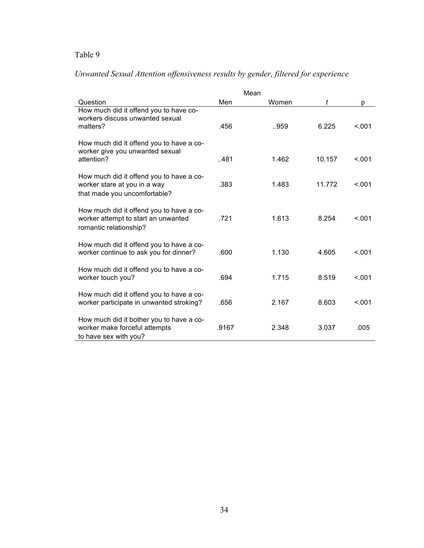| Unwanted Sexual Attention offensiveness results by gender, filtered for experience |  |  |
|------------------------------------------------------------------------------------|--|--|
|                                                                                    |  |  |

|                                                                                                           |       | Mean  |        |        |
|-----------------------------------------------------------------------------------------------------------|-------|-------|--------|--------|
| Question                                                                                                  | Men   | Women | t      | p      |
| How much did it offend you to have co-<br>workers discuss unwanted sexual<br>matters?                     | .456  | 959   | 6.225  | < .001 |
| How much did it offend you to have a co-<br>worker give you unwanted sexual<br>attention?                 | .481  | 1.462 | 10.157 | < 0.01 |
| How much did it offend you to have a co-<br>worker stare at you in a way<br>that made you uncomfortable?  | .383  | 1.483 | 11.772 | < 0.01 |
| How much did it offend you to have a co-<br>worker attempt to start an unwanted<br>romantic relationship? | .721  | 1.613 | 8.254  | < 0.01 |
| How much did it offend you to have a co-<br>worker continue to ask you for dinner?                        | .600  | 1.130 | 4.605  | < 0.01 |
| How much did it offend you to have a co-<br>worker touch you?                                             | .694  | 1.715 | 8.519  | < 001  |
| How much did it offend you to have a co-<br>worker participate in unwanted stroking?                      | .656  | 2.167 | 8.603  | < 0.01 |
| How much did it bother you to have a co-<br>worker make forceful attempts<br>to have sex with you?        | .9167 | 2.348 | 3.037  | .005   |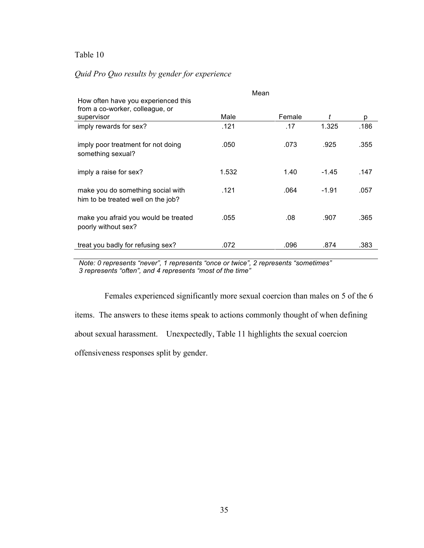# *Quid Pro Quo results by gender for experience*

|                                                                         |       | Mean   |         |      |
|-------------------------------------------------------------------------|-------|--------|---------|------|
| How often have you experienced this                                     |       |        |         |      |
| from a co-worker, colleague, or                                         |       |        |         |      |
| supervisor                                                              | Male  | Female |         | р    |
| imply rewards for sex?                                                  | .121  | .17    | 1.325   | .186 |
| imply poor treatment for not doing<br>something sexual?                 | .050  | .073   | .925    | .355 |
| imply a raise for sex?                                                  | 1.532 | 1.40   | $-1.45$ | .147 |
| make you do something social with<br>him to be treated well on the job? | .121  | .064   | $-1.91$ | .057 |
| make you afraid you would be treated<br>poorly without sex?             | .055  | .08    | .907    | .365 |
| treat you badly for refusing sex?                                       | .072  | .096   | .874    | .383 |

*Note: 0 represents "never", 1 represents "once or twice", 2 represents "sometimes" 3 represents "often", and 4 represents "most of the time"*

Females experienced significantly more sexual coercion than males on 5 of the 6 items. The answers to these items speak to actions commonly thought of when defining about sexual harassment. Unexpectedly, Table 11 highlights the sexual coercion offensiveness responses split by gender.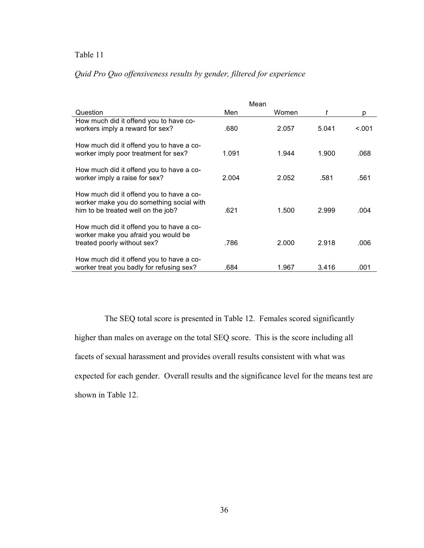# *Quid Pro Quo offensiveness results by gender, filtered for experience*

|                                                                                                                            |       | Mean  |       |         |
|----------------------------------------------------------------------------------------------------------------------------|-------|-------|-------|---------|
| Question                                                                                                                   | Men   | Women | t     | p       |
| How much did it offend you to have co-<br>workers imply a reward for sex?                                                  | .680  | 2.057 | 5.041 | < 0.001 |
| How much did it offend you to have a co-<br>worker imply poor treatment for sex?                                           | 1.091 | 1.944 | 1.900 | .068    |
| How much did it offend you to have a co-<br>worker imply a raise for sex?                                                  | 2.004 | 2.052 | .581  | .561    |
| How much did it offend you to have a co-<br>worker make you do something social with<br>him to be treated well on the job? | .621  | 1.500 | 2.999 | .004    |
| How much did it offend you to have a co-<br>worker make you afraid you would be<br>treated poorly without sex?             | .786  | 2.000 | 2.918 | .006    |
| How much did it offend you to have a co-<br>worker treat you badly for refusing sex?                                       | .684  | 1.967 | 3.416 | .001    |

The SEQ total score is presented in Table 12. Females scored significantly higher than males on average on the total SEQ score. This is the score including all facets of sexual harassment and provides overall results consistent with what was expected for each gender. Overall results and the significance level for the means test are shown in Table 12.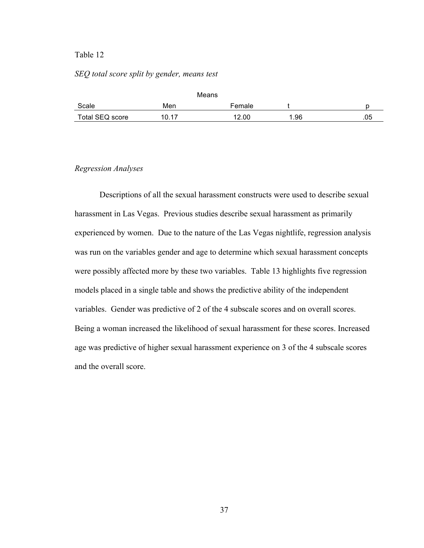## *SEQ total score split by gender, means test*

|                 |                | Means  |      |     |
|-----------------|----------------|--------|------|-----|
| Scale           | Men            | Female |      |     |
| Total SEQ score | 1 N 17<br>U. U | 12.00  | 1.96 | .05 |

## *Regression Analyses*

Descriptions of all the sexual harassment constructs were used to describe sexual harassment in Las Vegas. Previous studies describe sexual harassment as primarily experienced by women. Due to the nature of the Las Vegas nightlife, regression analysis was run on the variables gender and age to determine which sexual harassment concepts were possibly affected more by these two variables. Table 13 highlights five regression models placed in a single table and shows the predictive ability of the independent variables. Gender was predictive of 2 of the 4 subscale scores and on overall scores. Being a woman increased the likelihood of sexual harassment for these scores. Increased age was predictive of higher sexual harassment experience on 3 of the 4 subscale scores and the overall score.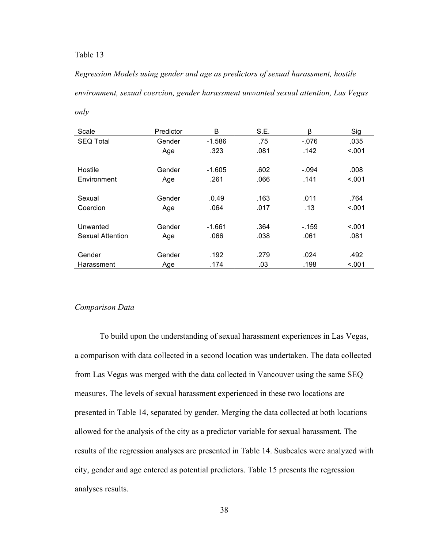*Regression Models using gender and age as predictors of sexual harassment, hostile environment, sexual coercion, gender harassment unwanted sexual attention, Las Vegas only*

| Scale            | Predictor | B        | S.E. | β       | Sig     |
|------------------|-----------|----------|------|---------|---------|
| <b>SEQ Total</b> | Gender    | $-1.586$ | .75  | $-076$  | .035    |
|                  | Age       | .323     | .081 | .142    | < .001  |
| Hostile          | Gender    | $-1.605$ | .602 | $-.094$ | .008    |
| Environment      | Age       | .261     | .066 | .141    | < 0.001 |
| Sexual           | Gender    | .0.49    | .163 | .011    | .764    |
|                  |           |          |      |         |         |
| Coercion         | Age       | .064     | .017 | .13     | < .001  |
| Unwanted         | Gender    | $-1.661$ | .364 | $-159$  | < 0.01  |
| Sexual Attention | Age       | .066     | .038 | .061    | .081    |
|                  |           |          |      |         |         |
| Gender           | Gender    | .192     | .279 | .024    | .492    |
| Harassment       | Age       | .174     | .03  | .198    | < .001  |

## *Comparison Data*

To build upon the understanding of sexual harassment experiences in Las Vegas, a comparison with data collected in a second location was undertaken. The data collected from Las Vegas was merged with the data collected in Vancouver using the same SEQ measures. The levels of sexual harassment experienced in these two locations are presented in Table 14, separated by gender. Merging the data collected at both locations allowed for the analysis of the city as a predictor variable for sexual harassment. The results of the regression analyses are presented in Table 14. Susbcales were analyzed with city, gender and age entered as potential predictors. Table 15 presents the regression analyses results.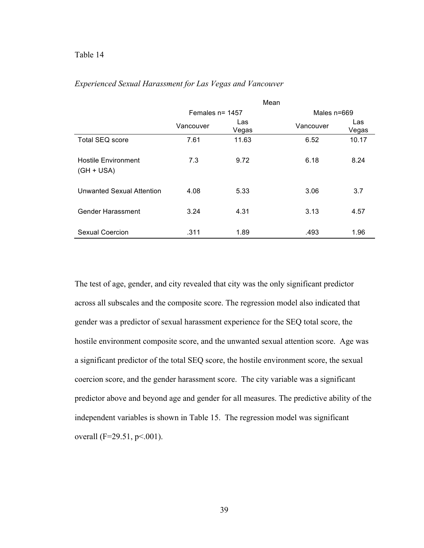|                                            | Mean               |              |             |              |
|--------------------------------------------|--------------------|--------------|-------------|--------------|
|                                            | Females $n = 1457$ |              | Males n=669 |              |
|                                            | Vancouver          | Las<br>Vegas | Vancouver   | Las<br>Vegas |
| <b>Total SEQ score</b>                     | 7.61               | 11.63        | 6.52        | 10.17        |
| <b>Hostile Environment</b><br>$(GH + USA)$ | 7.3                | 9.72         | 6.18        | 8.24         |
| Unwanted Sexual Attention                  | 4.08               | 5.33         | 3.06        | 3.7          |
| Gender Harassment                          | 3.24               | 4.31         | 3.13        | 4.57         |
| Sexual Coercion                            | .311               | 1.89         | .493        | 1.96         |

## *Experienced Sexual Harassment for Las Vegas and Vancouver*

The test of age, gender, and city revealed that city was the only significant predictor across all subscales and the composite score. The regression model also indicated that gender was a predictor of sexual harassment experience for the SEQ total score, the hostile environment composite score, and the unwanted sexual attention score. Age was a significant predictor of the total SEQ score, the hostile environment score, the sexual coercion score, and the gender harassment score. The city variable was a significant predictor above and beyond age and gender for all measures. The predictive ability of the independent variables is shown in Table 15. The regression model was significant overall ( $F=29.51$ ,  $p<001$ ).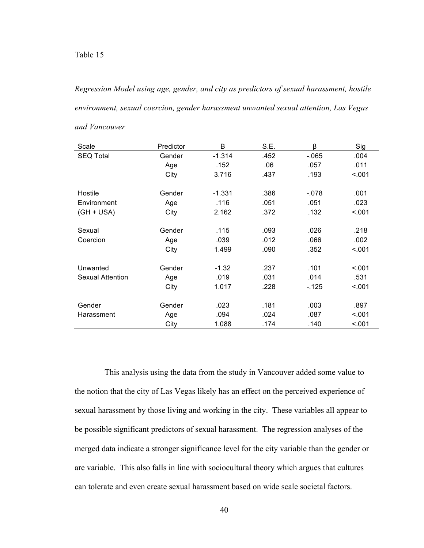*Regression Model using age, gender, and city as predictors of sexual harassment, hostile environment, sexual coercion, gender harassment unwanted sexual attention, Las Vegas* 

| Scale                   | Predictor | В        | S.E. | β       | Sig    |
|-------------------------|-----------|----------|------|---------|--------|
| <b>SEQ Total</b>        | Gender    | $-1.314$ | .452 | $-065$  | .004   |
|                         | Age       | .152     | .06  | .057    | .011   |
|                         | City      | 3.716    | .437 | .193    | < 0.01 |
| Hostile                 | Gender    | $-1.331$ | .386 | $-.078$ | .001   |
| Environment             | Age       | .116     | .051 | .051    | .023   |
| $(GH + USA)$            | City      | 2.162    | .372 | .132    | < .001 |
| Sexual                  | Gender    | .115     | .093 | .026    | .218   |
| Coercion                | Age       | .039     | .012 | .066    | .002   |
|                         | City      | 1.499    | .090 | .352    | < .001 |
| Unwanted                | Gender    | $-1.32$  | .237 | .101    | < .001 |
| <b>Sexual Attention</b> | Age       | .019     | .031 | .014    | .531   |
|                         | City      | 1.017    | .228 | $-125$  | < 0.01 |
| Gender                  | Gender    | .023     | .181 | .003    | .897   |
| Harassment              | Age       | .094     | .024 | .087    | < .001 |
|                         | City      | 1.088    | .174 | .140    | < .001 |

*and Vancouver*

This analysis using the data from the study in Vancouver added some value to the notion that the city of Las Vegas likely has an effect on the perceived experience of sexual harassment by those living and working in the city. These variables all appear to be possible significant predictors of sexual harassment. The regression analyses of the merged data indicate a stronger significance level for the city variable than the gender or are variable. This also falls in line with sociocultural theory which argues that cultures can tolerate and even create sexual harassment based on wide scale societal factors.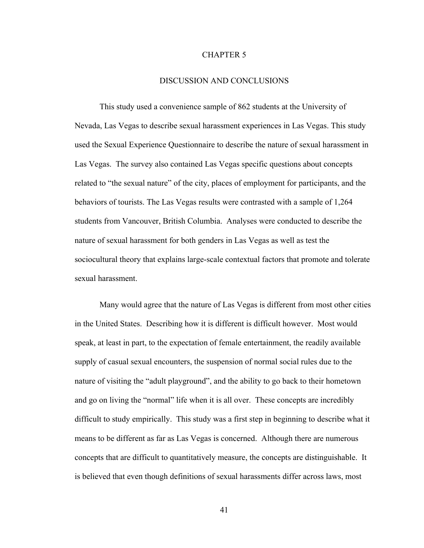## CHAPTER 5

## DISCUSSION AND CONCLUSIONS

This study used a convenience sample of 862 students at the University of Nevada, Las Vegas to describe sexual harassment experiences in Las Vegas. This study used the Sexual Experience Questionnaire to describe the nature of sexual harassment in Las Vegas. The survey also contained Las Vegas specific questions about concepts related to "the sexual nature" of the city, places of employment for participants, and the behaviors of tourists. The Las Vegas results were contrasted with a sample of 1,264 students from Vancouver, British Columbia. Analyses were conducted to describe the nature of sexual harassment for both genders in Las Vegas as well as test the sociocultural theory that explains large-scale contextual factors that promote and tolerate sexual harassment.

Many would agree that the nature of Las Vegas is different from most other cities in the United States. Describing how it is different is difficult however. Most would speak, at least in part, to the expectation of female entertainment, the readily available supply of casual sexual encounters, the suspension of normal social rules due to the nature of visiting the "adult playground", and the ability to go back to their hometown and go on living the "normal" life when it is all over. These concepts are incredibly difficult to study empirically. This study was a first step in beginning to describe what it means to be different as far as Las Vegas is concerned. Although there are numerous concepts that are difficult to quantitatively measure, the concepts are distinguishable. It is believed that even though definitions of sexual harassments differ across laws, most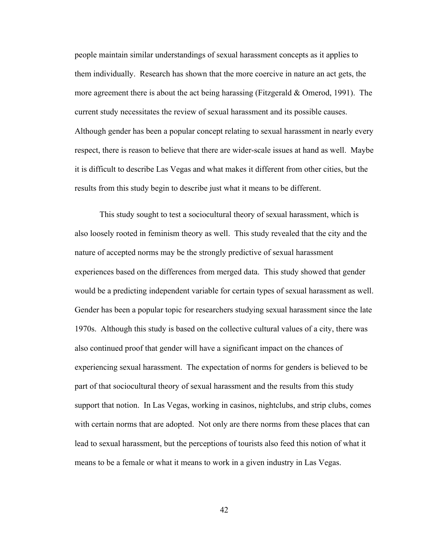people maintain similar understandings of sexual harassment concepts as it applies to them individually. Research has shown that the more coercive in nature an act gets, the more agreement there is about the act being harassing (Fitzgerald & Omerod, 1991). The current study necessitates the review of sexual harassment and its possible causes. Although gender has been a popular concept relating to sexual harassment in nearly every respect, there is reason to believe that there are wider-scale issues at hand as well. Maybe it is difficult to describe Las Vegas and what makes it different from other cities, but the results from this study begin to describe just what it means to be different.

This study sought to test a sociocultural theory of sexual harassment, which is also loosely rooted in feminism theory as well. This study revealed that the city and the nature of accepted norms may be the strongly predictive of sexual harassment experiences based on the differences from merged data. This study showed that gender would be a predicting independent variable for certain types of sexual harassment as well. Gender has been a popular topic for researchers studying sexual harassment since the late 1970s. Although this study is based on the collective cultural values of a city, there was also continued proof that gender will have a significant impact on the chances of experiencing sexual harassment. The expectation of norms for genders is believed to be part of that sociocultural theory of sexual harassment and the results from this study support that notion. In Las Vegas, working in casinos, nightclubs, and strip clubs, comes with certain norms that are adopted. Not only are there norms from these places that can lead to sexual harassment, but the perceptions of tourists also feed this notion of what it means to be a female or what it means to work in a given industry in Las Vegas.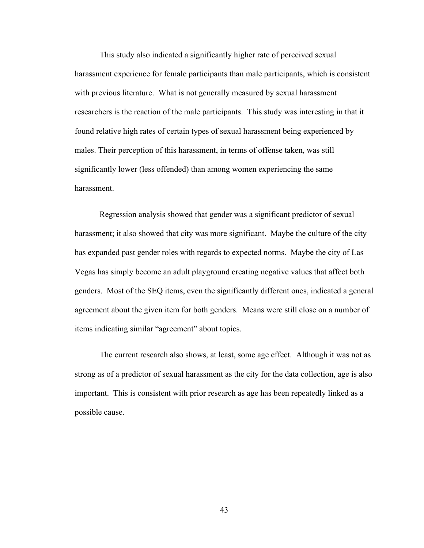This study also indicated a significantly higher rate of perceived sexual harassment experience for female participants than male participants, which is consistent with previous literature. What is not generally measured by sexual harassment researchers is the reaction of the male participants. This study was interesting in that it found relative high rates of certain types of sexual harassment being experienced by males. Their perception of this harassment, in terms of offense taken, was still significantly lower (less offended) than among women experiencing the same harassment.

Regression analysis showed that gender was a significant predictor of sexual harassment; it also showed that city was more significant. Maybe the culture of the city has expanded past gender roles with regards to expected norms. Maybe the city of Las Vegas has simply become an adult playground creating negative values that affect both genders. Most of the SEQ items, even the significantly different ones, indicated a general agreement about the given item for both genders. Means were still close on a number of items indicating similar "agreement" about topics.

The current research also shows, at least, some age effect. Although it was not as strong as of a predictor of sexual harassment as the city for the data collection, age is also important. This is consistent with prior research as age has been repeatedly linked as a possible cause.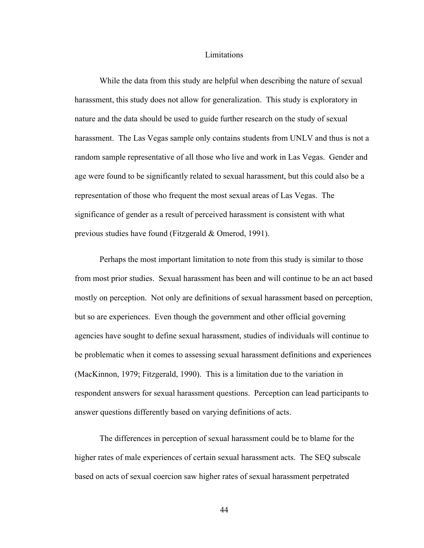#### Limitations

While the data from this study are helpful when describing the nature of sexual harassment, this study does not allow for generalization. This study is exploratory in nature and the data should be used to guide further research on the study of sexual harassment. The Las Vegas sample only contains students from UNLV and thus is not a random sample representative of all those who live and work in Las Vegas. Gender and age were found to be significantly related to sexual harassment, but this could also be a representation of those who frequent the most sexual areas of Las Vegas. The significance of gender as a result of perceived harassment is consistent with what previous studies have found (Fitzgerald & Omerod, 1991).

Perhaps the most important limitation to note from this study is similar to those from most prior studies. Sexual harassment has been and will continue to be an act based mostly on perception. Not only are definitions of sexual harassment based on perception, but so are experiences. Even though the government and other official governing agencies have sought to define sexual harassment, studies of individuals will continue to be problematic when it comes to assessing sexual harassment definitions and experiences (MacKinnon, 1979; Fitzgerald, 1990). This is a limitation due to the variation in respondent answers for sexual harassment questions. Perception can lead participants to answer questions differently based on varying definitions of acts.

The differences in perception of sexual harassment could be to blame for the higher rates of male experiences of certain sexual harassment acts. The SEQ subscale based on acts of sexual coercion saw higher rates of sexual harassment perpetrated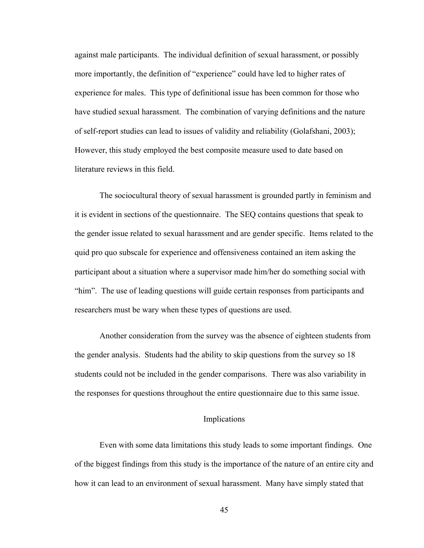against male participants. The individual definition of sexual harassment, or possibly more importantly, the definition of "experience" could have led to higher rates of experience for males. This type of definitional issue has been common for those who have studied sexual harassment. The combination of varying definitions and the nature of self-report studies can lead to issues of validity and reliability (Golafshani, 2003); However, this study employed the best composite measure used to date based on literature reviews in this field.

The sociocultural theory of sexual harassment is grounded partly in feminism and it is evident in sections of the questionnaire. The SEQ contains questions that speak to the gender issue related to sexual harassment and are gender specific. Items related to the quid pro quo subscale for experience and offensiveness contained an item asking the participant about a situation where a supervisor made him/her do something social with "him". The use of leading questions will guide certain responses from participants and researchers must be wary when these types of questions are used.

Another consideration from the survey was the absence of eighteen students from the gender analysis. Students had the ability to skip questions from the survey so 18 students could not be included in the gender comparisons. There was also variability in the responses for questions throughout the entire questionnaire due to this same issue.

## Implications

Even with some data limitations this study leads to some important findings. One of the biggest findings from this study is the importance of the nature of an entire city and how it can lead to an environment of sexual harassment. Many have simply stated that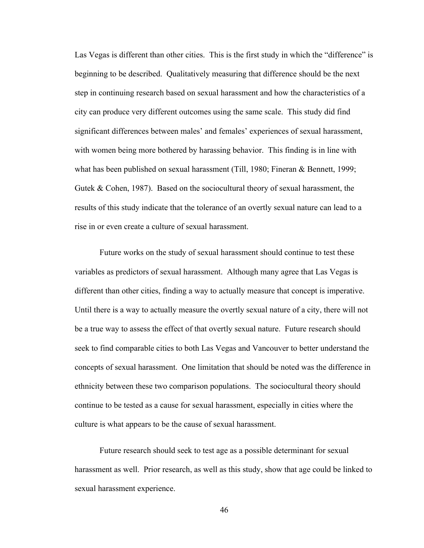Las Vegas is different than other cities. This is the first study in which the "difference" is beginning to be described. Qualitatively measuring that difference should be the next step in continuing research based on sexual harassment and how the characteristics of a city can produce very different outcomes using the same scale. This study did find significant differences between males' and females' experiences of sexual harassment, with women being more bothered by harassing behavior. This finding is in line with what has been published on sexual harassment (Till, 1980; Fineran & Bennett, 1999; Gutek & Cohen, 1987). Based on the sociocultural theory of sexual harassment, the results of this study indicate that the tolerance of an overtly sexual nature can lead to a rise in or even create a culture of sexual harassment.

Future works on the study of sexual harassment should continue to test these variables as predictors of sexual harassment. Although many agree that Las Vegas is different than other cities, finding a way to actually measure that concept is imperative. Until there is a way to actually measure the overtly sexual nature of a city, there will not be a true way to assess the effect of that overtly sexual nature. Future research should seek to find comparable cities to both Las Vegas and Vancouver to better understand the concepts of sexual harassment. One limitation that should be noted was the difference in ethnicity between these two comparison populations. The sociocultural theory should continue to be tested as a cause for sexual harassment, especially in cities where the culture is what appears to be the cause of sexual harassment.

Future research should seek to test age as a possible determinant for sexual harassment as well. Prior research, as well as this study, show that age could be linked to sexual harassment experience.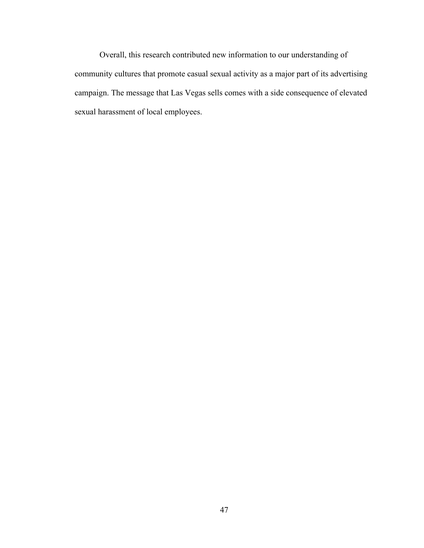Overall, this research contributed new information to our understanding of community cultures that promote casual sexual activity as a major part of its advertising campaign. The message that Las Vegas sells comes with a side consequence of elevated sexual harassment of local employees.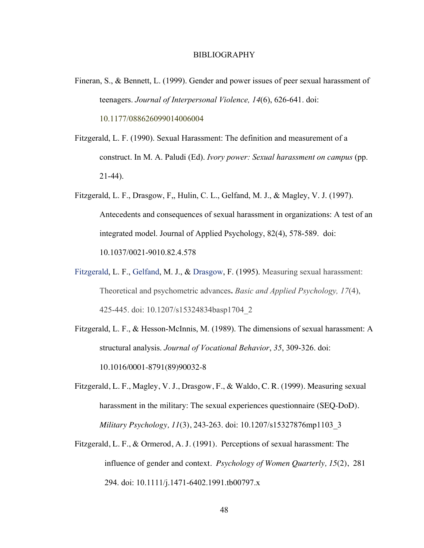- Fineran, S., & Bennett, L. (1999). Gender and power issues of peer sexual harassment of teenagers. *Journal of Interpersonal Violence, 14*(6), 626-641. doi: 10.1177/088626099014006004
- Fitzgerald, L. F. (1990). Sexual Harassment: The definition and measurement of a construct. In M. A. Paludi (Ed). *Ivory power: Sexual harassment on campus* (pp. 21-44).
- Fitzgerald, L. F., Drasgow, F,, Hulin, C. L., Gelfand, M. J., & Magley, V. J. (1997). Antecedents and consequences of sexual harassment in organizations: A test of an integrated model. Journal of Applied Psychology, 82(4), 578-589. doi: 10.1037/0021-9010.82.4.578
- Fitzgerald, L. F., Gelfand, M. J., & Drasgow, F. (1995). Measuring sexual harassment: Theoretical and psychometric advances**.** *Basic and Applied Psychology, 17*(4), 425-445. doi: 10.1207/s15324834basp1704\_2
- Fitzgerald, L. F., & Hesson-McInnis, M. (1989). The dimensions of sexual harassment: A structural analysis. *Journal of Vocational Behavior*, *35*, 309-326. doi: 10.1016/0001-8791(89)90032-8
- Fitzgerald, L. F., Magley, V. J., Drasgow, F., & Waldo, C. R. (1999). Measuring sexual harassment in the military: The sexual experiences questionnaire (SEQ-DoD). *Military Psychology, 11*(3), 243-263. doi: 10.1207/s15327876mp1103\_3
- Fitzgerald, L. F., & Ormerod, A. J. (1991). Perceptions of sexual harassment: The influence of gender and context. *Psychology of Women Quarterly, 15*(2), 281 294. doi: 10.1111/j.1471-6402.1991.tb00797.x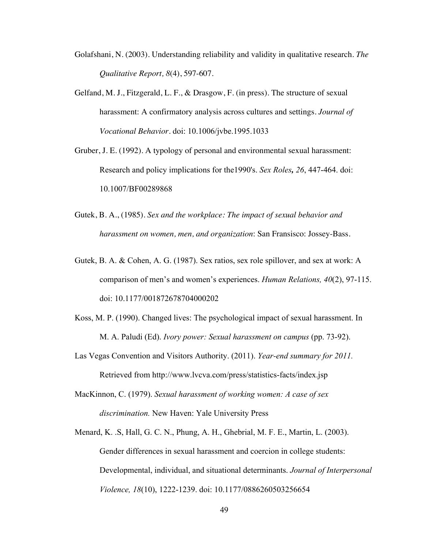- Golafshani, N. (2003). Understanding reliability and validity in qualitative research. *The Qualitative Report, 8*(4), 597-607.
- Gelfand, M. J., Fitzgerald, L. F., & Drasgow, F. (in press). The structure of sexual harassment: A confirmatory analysis across cultures and settings. *Journal of Vocational Behavior.* doi: 10.1006/jvbe.1995.1033
- Gruber, J. E. (1992). A typology of personal and environmental sexual harassment: Research and policy implications for the1990's. *Sex Roles, 26*, 447-464. doi: 10.1007/BF00289868
- Gutek, B. A., (1985). *Sex and the workplace: The impact of sexual behavior and harassment on women, men, and organization*: San Fransisco: Jossey-Bass.
- Gutek, B. A. & Cohen, A. G. (1987). Sex ratios, sex role spillover, and sex at work: A comparison of men's and women's experiences. *Human Relations, 40*(2), 97-115. doi: 10.1177/001872678704000202
- Koss, M. P. (1990). Changed lives: The psychological impact of sexual harassment. In M. A. Paludi (Ed). *Ivory power: Sexual harassment on campus* (pp. 73-92).
- Las Vegas Convention and Visitors Authority. (2011). *Year-end summary for 2011.*  Retrieved from http://www.lvcva.com/press/statistics-facts/index.jsp
- MacKinnon, C. (1979). *Sexual harassment of working women: A case of sex discrimination.* New Haven: Yale University Press
- Menard, K. .S, Hall, G. C. N., Phung, A. H., Ghebrial, M. F. E., Martin, L. (2003). Gender differences in sexual harassment and coercion in college students: Developmental, individual, and situational determinants. *Journal of Interpersonal Violence, 18*(10), 1222-1239. doi: 10.1177/0886260503256654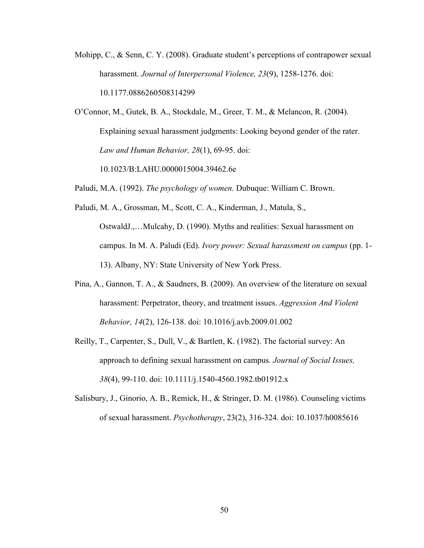Mohipp, C., & Senn, C. Y. (2008). Graduate student's perceptions of contrapower sexual harassment. *Journal of Interpersonal Violence, 23*(9), 1258-1276. doi: 10.1177.0886260508314299

O'Connor, M., Gutek, B. A., Stockdale, M., Greer, T. M., & Melancon, R. (2004). Explaining sexual harassment judgments: Looking beyond gender of the rater. *Law and Human Behavior, 28*(1), 69-95. doi:

10.1023/B:LAHU.0000015004.39462.6e

Paludi, M.A. (1992). *The psychology of women.* Dubuque: William C. Brown.

- Paludi, M. A., Grossman, M., Scott, C. A., Kinderman, J., Matula, S., OstwaldJ.,…Mulcahy, D. (1990). Myths and realities: Sexual harassment on campus. In M. A. Paludi (Ed). *Ivory power: Sexual harassment on campus* (pp. 1- 13). Albany, NY: State University of New York Press.
- Pina, A., Gannon, T. A., & Saudners, B. (2009). An overview of the literature on sexual harassment: Perpetrator, theory, and treatment issues. *Aggression And Violent Behavior, 14*(2), 126-138. doi: 10.1016/j.avb.2009.01.002
- Reilly, T., Carpenter, S., Dull, V., & Bartlett, K. (1982). The factorial survey: An approach to defining sexual harassment on campus*. Journal of Social Issues, 38*(4), 99-110. doi: 10.1111/j.1540-4560.1982.tb01912.x
- Salisbury, J., Ginorio, A. B., Remick, H., & Stringer, D. M. (1986). Counseling victims of sexual harassment. *Psychotherapy*, 23(2), 316-324. doi: 10.1037/h0085616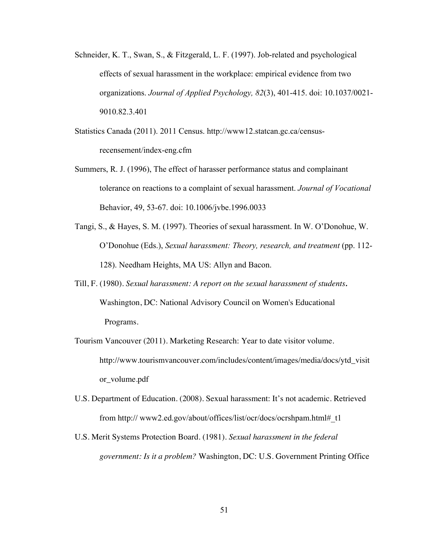- Schneider, K. T., Swan, S., & Fitzgerald, L. F. (1997). Job-related and psychological effects of sexual harassment in the workplace: empirical evidence from two organizations. *Journal of Applied Psychology, 82*(3), 401-415. doi: 10.1037/0021- 9010.82.3.401
- Statistics Canada (2011). 2011 Census. http://www12.statcan.gc.ca/censusrecensement/index-eng.cfm
- Summers, R. J. (1996), The effect of harasser performance status and complainant tolerance on reactions to a complaint of sexual harassment. *Journal of Vocational*  Behavior, 49, 53-67. doi: 10.1006/jvbe.1996.0033
- Tangi, S., & Hayes, S. M. (1997). Theories of sexual harassment. In W. O'Donohue, W. O'Donohue (Eds.), *Sexual harassment: Theory, research, and treatment* (pp. 112- 128). Needham Heights, MA US: Allyn and Bacon.
- Till, F. (1980). *Sexual harassment: A report on the sexual harassment of students.*  Washington, DC: National Advisory Council on Women's Educational Programs.
- Tourism Vancouver (2011). Marketing Research: Year to date visitor volume. http://www.tourismvancouver.com/includes/content/images/media/docs/ytd\_visit or\_volume.pdf
- U.S. Department of Education. (2008). Sexual harassment: It's not academic. Retrieved from http:// www2.ed.gov/about/offices/list/ocr/docs/ocrshpam.html#\_t1
- U.S. Merit Systems Protection Board. (1981). *Sexual harassment in the federal government: Is it a problem?* Washington, DC: U.S. Government Printing Office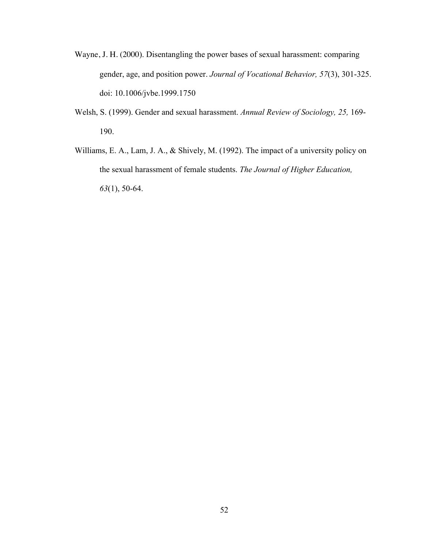- Wayne, J. H. (2000). Disentangling the power bases of sexual harassment: comparing gender, age, and position power. *Journal of Vocational Behavior, 57*(3), 301-325. doi: 10.1006/jvbe.1999.1750
- Welsh, S. (1999). Gender and sexual harassment. *Annual Review of Sociology, 25,* 169- 190.
- Williams, E. A., Lam, J. A., & Shively, M. (1992). The impact of a university policy on the sexual harassment of female students. *The Journal of Higher Education, 63*(1), 50-64.